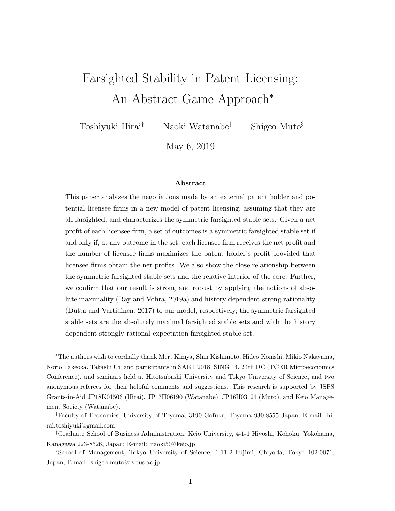# Farsighted Stability in Patent Licensing: An Abstract Game Approach*<sup>∗</sup>*

Toshiyuki Hirai*†* Naoki Watanabe*‡* Shigeo Muto*§*

May 6, 2019

#### **Abstract**

This paper analyzes the negotiations made by an external patent holder and potential licensee firms in a new model of patent licensing, assuming that they are all farsighted, and characterizes the symmetric farsighted stable sets. Given a net profit of each licensee firm, a set of outcomes is a symmetric farsighted stable set if and only if, at any outcome in the set, each licensee firm receives the net profit and the number of licensee firms maximizes the patent holder's profit provided that licensee firms obtain the net profits. We also show the close relationship between the symmetric farsighted stable sets and the relative interior of the core. Further, we confirm that our result is strong and robust by applying the notions of absolute maximality (Ray and Vohra, 2019a) and history dependent strong rationality (Dutta and Vartiainen, 2017) to our model, respectively; the symmetric farsighted stable sets are the absolutely maximal farsighted stable sets and with the history dependent strongly rational expectation farsighted stable set.

*<sup>∗</sup>*The authors wish to cordially thank Mert Kimya, Shin Kishimoto, Hideo Konishi, Mikio Nakayama, Norio Takeoka, Takashi Ui, and participants in SAET 2018, SING 14, 24th DC (TCER Microeconomics Conference), and seminars held at Hitotsubashi University and Tokyo University of Science, and two anonymous referees for their helpful comments and suggestions. This research is supported by JSPS Grants-in-Aid JP18K01506 (Hirai), JP17H06190 (Watanabe), JP16H03121 (Muto), and Keio Management Society (Watanabe).

*<sup>†</sup>*Faculty of Economics, University of Toyama, 3190 Gofuku, Toyama 930-8555 Japan; E-mail: hirai.toshiyuki@gmail.com

*<sup>‡</sup>*Graduate School of Business Administration, Keio University, 4-1-1 Hiyoshi, Kohoku, Yokohama, Kanagawa 223-8526, Japan; E-mail: naoki50@keio.jp

*<sup>§</sup>*School of Management, Tokyo University of Science, 1-11-2 Fujimi, Chiyoda, Tokyo 102-0071, Japan; E-mail: shigeo-muto@rs.tus.ac.jp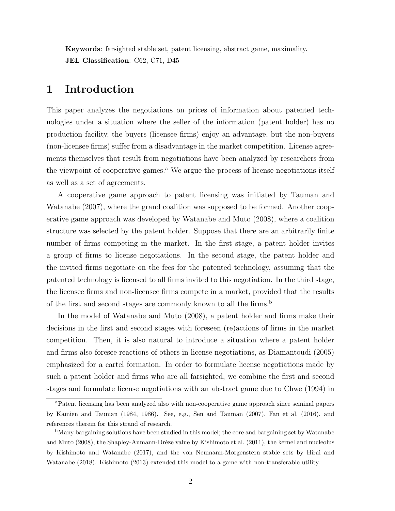**Keywords**: farsighted stable set, patent licensing, abstract game, maximality. **JEL Classification**: C62, C71, D45

### **1 Introduction**

This paper analyzes the negotiations on prices of information about patented technologies under a situation where the seller of the information (patent holder) has no production facility, the buyers (licensee firms) enjoy an advantage, but the non-buyers (non-licensee firms) suffer from a disadvantage in the market competition. License agreements themselves that result from negotiations have been analyzed by researchers from the viewpoint of cooperative games.<sup>a</sup> We argue the process of license negotiations itself as well as a set of agreements.

A cooperative game approach to patent licensing was initiated by Tauman and Watanabe (2007), where the grand coalition was supposed to be formed. Another cooperative game approach was developed by Watanabe and Muto (2008), where a coalition structure was selected by the patent holder. Suppose that there are an arbitrarily finite number of firms competing in the market. In the first stage, a patent holder invites a group of firms to license negotiations. In the second stage, the patent holder and the invited firms negotiate on the fees for the patented technology, assuming that the patented technology is licensed to all firms invited to this negotiation. In the third stage, the licensee firms and non-licensee firms compete in a market, provided that the results of the first and second stages are commonly known to all the firms.<sup>b</sup>

In the model of Watanabe and Muto (2008), a patent holder and firms make their decisions in the first and second stages with foreseen (re)actions of firms in the market competition. Then, it is also natural to introduce a situation where a patent holder and firms also foresee reactions of others in license negotiations, as Diamantoudi (2005) emphasized for a cartel formation. In order to formulate license negotiations made by such a patent holder and firms who are all farsighted, we combine the first and second stages and formulate license negotiations with an abstract game due to Chwe (1994) in

<sup>a</sup>Patent licensing has been analyzed also with non-cooperative game approach since seminal papers by Kamien and Tauman (1984, 1986). See, e.g., Sen and Tauman (2007), Fan et al. (2016), and references therein for this strand of research.

<sup>b</sup>Many bargaining solutions have been studied in this model; the core and bargaining set by Watanabe and Muto (2008), the Shapley-Aumann-Drèze value by Kishimoto et al. (2011), the kernel and nucleolus by Kishimoto and Watanabe (2017), and the von Neumann-Morgenstern stable sets by Hirai and Watanabe (2018). Kishimoto (2013) extended this model to a game with non-transferable utility.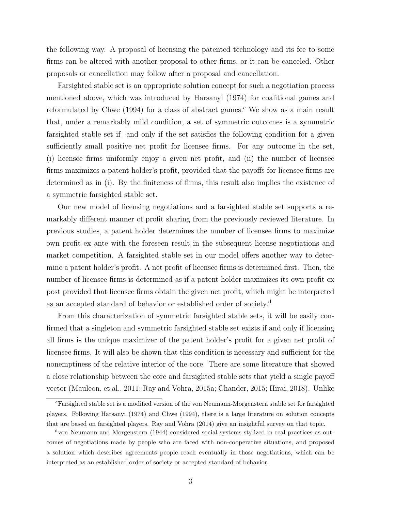the following way. A proposal of licensing the patented technology and its fee to some firms can be altered with another proposal to other firms, or it can be canceled. Other proposals or cancellation may follow after a proposal and cancellation.

Farsighted stable set is an appropriate solution concept for such a negotiation process mentioned above, which was introduced by Harsanyi (1974) for coalitional games and reformulated by Chwe  $(1994)$  for a class of abstract games.<sup>c</sup> We show as a main result that, under a remarkably mild condition, a set of symmetric outcomes is a symmetric farsighted stable set if and only if the set satisfies the following condition for a given sufficiently small positive net profit for licensee firms. For any outcome in the set, (i) licensee firms uniformly enjoy a given net profit, and (ii) the number of licensee firms maximizes a patent holder's profit, provided that the payoffs for licensee firms are determined as in (i). By the finiteness of firms, this result also implies the existence of a symmetric farsighted stable set.

Our new model of licensing negotiations and a farsighted stable set supports a remarkably different manner of profit sharing from the previously reviewed literature. In previous studies, a patent holder determines the number of licensee firms to maximize own profit ex ante with the foreseen result in the subsequent license negotiations and market competition. A farsighted stable set in our model offers another way to determine a patent holder's profit. A net profit of licensee firms is determined first. Then, the number of licensee firms is determined as if a patent holder maximizes its own profit ex post provided that licensee firms obtain the given net profit, which might be interpreted as an accepted standard of behavior or established order of society.<sup>d</sup>

From this characterization of symmetric farsighted stable sets, it will be easily confirmed that a singleton and symmetric farsighted stable set exists if and only if licensing all firms is the unique maximizer of the patent holder's profit for a given net profit of licensee firms. It will also be shown that this condition is necessary and sufficient for the nonemptiness of the relative interior of the core. There are some literature that showed a close relationship between the core and farsighted stable sets that yield a single payoff vector (Mauleon, et al., 2011; Ray and Vohra, 2015a; Chander, 2015; Hirai, 2018). Unlike

<sup>c</sup>Farsighted stable set is a modified version of the von Neumann-Morgenstern stable set for farsighted players. Following Harsanyi (1974) and Chwe (1994), there is a large literature on solution concepts that are based on farsighted players. Ray and Vohra (2014) give an insightful survey on that topic.

<sup>d</sup>von Neumann and Morgenstern (1944) considered social systems stylized in real practices as outcomes of negotiations made by people who are faced with non-cooperative situations, and proposed a solution which describes agreements people reach eventually in those negotiations, which can be interpreted as an established order of society or accepted standard of behavior.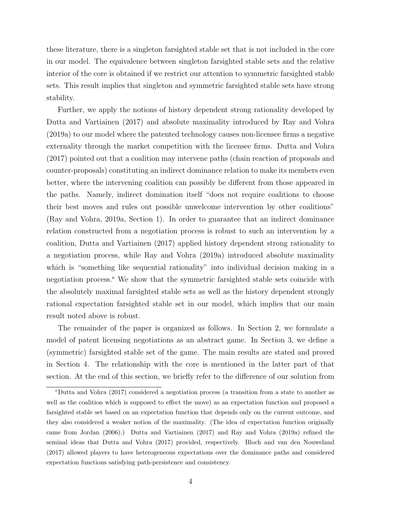these literature, there is a singleton farsighted stable set that is not included in the core in our model. The equivalence between singleton farsighted stable sets and the relative interior of the core is obtained if we restrict our attention to symmetric farsighted stable sets. This result implies that singleton and symmetric farsighted stable sets have strong stability.

Further, we apply the notions of history dependent strong rationality developed by Dutta and Vartiainen (2017) and absolute maximality introduced by Ray and Vohra (2019a) to our model where the patented technology causes non-licensee firms a negative externality through the market competition with the licensee firms. Dutta and Vohra (2017) pointed out that a coalition may intervene paths (chain reaction of proposals and counter-proposals) constituting an indirect dominance relation to make its members even better, where the intervening coalition can possibly be different from those appeared in the paths. Namely, indirect domination itself "does not require coalitions to choose their best moves and rules out possible unwelcome intervention by other coalitions" (Ray and Vohra, 2019a, Section 1). In order to guarantee that an indirect dominance relation constructed from a negotiation process is robust to such an intervention by a coalition, Dutta and Vartiainen (2017) applied history dependent strong rationality to a negotiation process, while Ray and Vohra (2019a) introduced absolute maximality which is "something like sequential rationality" into individual decision making in a negotiation process.<sup>e</sup> We show that the symmetric farsighted stable sets coincide with the absolutely maximal farsighted stable sets as well as the history dependent strongly rational expectation farsighted stable set in our model, which implies that our main result noted above is robust.

The remainder of the paper is organized as follows. In Section 2, we formulate a model of patent licensing negotiations as an abstract game. In Section 3, we define a (symmetric) farsighted stable set of the game. The main results are stated and proved in Section 4. The relationship with the core is mentioned in the latter part of that section. At the end of this section, we briefly refer to the difference of our solution from

<sup>e</sup>Dutta and Vohra (2017) considered a negotiation process (a transition from a state to another as well as the coalition which is supposed to effect the move) as an expectation function and proposed a farsighted stable set based on an expectation function that depends only on the current outcome, and they also considered a weaker notion of the maximality. (The idea of expectation function originally came from Jordan (2006).) Dutta and Vartiainen (2017) and Ray and Vohra (2019a) refined the seminal ideas that Dutta and Vohra (2017) provided, respectively. Bloch and van den Nouweland (2017) allowed players to have heterogeneous expectations over the dominance paths and considered expectation functions satisfying path-persistence and consistency.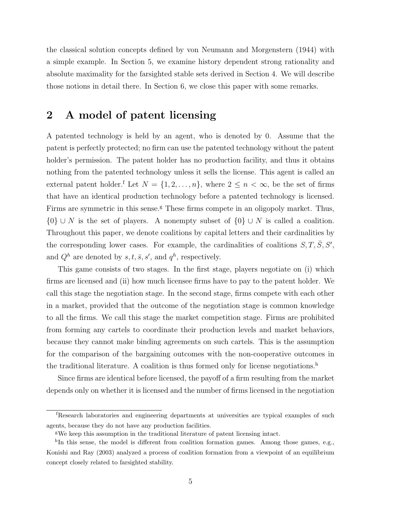the classical solution concepts defined by von Neumann and Morgenstern (1944) with a simple example. In Section 5, we examine history dependent strong rationality and absolute maximality for the farsighted stable sets derived in Section 4. We will describe those notions in detail there. In Section 6, we close this paper with some remarks.

### **2 A model of patent licensing**

A patented technology is held by an agent, who is denoted by 0. Assume that the patent is perfectly protected; no firm can use the patented technology without the patent holder's permission. The patent holder has no production facility, and thus it obtains nothing from the patented technology unless it sells the license. This agent is called an external patent holder.<sup>f</sup> Let  $N = \{1, 2, ..., n\}$ , where  $2 \leq n < \infty$ , be the set of firms that have an identical production technology before a patented technology is licensed. Firms are symmetric in this sense.<sup>g</sup> These firms compete in an oligopoly market. Thus, *{*0*} ∪ N* is the set of players. A nonempty subset of *{*0*} ∪ N* is called a coalition. Throughout this paper, we denote coalitions by capital letters and their cardinalities by the corresponding lower cases. For example, the cardinalities of coalitions  $S, T, \overline{S}, S'$ , and  $Q^h$  are denoted by  $s, t, \bar{s}, s'$ , and  $q^h$ , respectively.

This game consists of two stages. In the first stage, players negotiate on (i) which firms are licensed and (ii) how much licensee firms have to pay to the patent holder. We call this stage the negotiation stage. In the second stage, firms compete with each other in a market, provided that the outcome of the negotiation stage is common knowledge to all the firms. We call this stage the market competition stage. Firms are prohibited from forming any cartels to coordinate their production levels and market behaviors, because they cannot make binding agreements on such cartels. This is the assumption for the comparison of the bargaining outcomes with the non-cooperative outcomes in the traditional literature. A coalition is thus formed only for license negotiations.<sup>h</sup>

Since firms are identical before licensed, the payoff of a firm resulting from the market depends only on whether it is licensed and the number of firms licensed in the negotiation

<sup>f</sup>Research laboratories and engineering departments at universities are typical examples of such agents, because they do not have any production facilities.

<sup>g</sup>We keep this assumption in the traditional literature of patent licensing intact.

<sup>&</sup>lt;sup>h</sup>In this sense, the model is different from coalition formation games. Among those games, e.g., Konishi and Ray (2003) analyzed a process of coalition formation from a viewpoint of an equilibrium concept closely related to farsighted stability.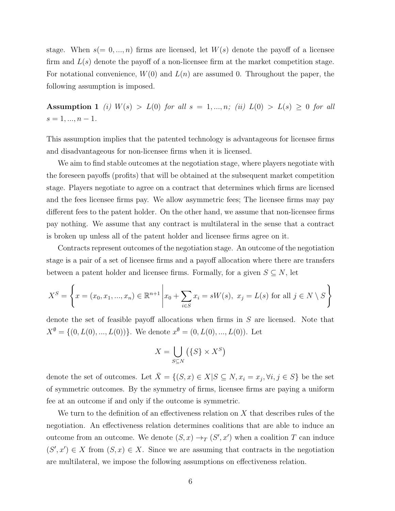stage. When  $s(= 0, ..., n)$  firms are licensed, let  $W(s)$  denote the payoff of a licensee firm and *L*(*s*) denote the payoff of a non-licensee firm at the market competition stage. For notational convenience,  $W(0)$  and  $L(n)$  are assumed 0. Throughout the paper, the following assumption is imposed.

**Assumption 1** *(i)*  $W(s) > L(0)$  *for all*  $s = 1, ..., n$ *; (ii)*  $L(0) > L(s) \ge 0$  *for all s* = 1*, ..., n −* 1*.*

This assumption implies that the patented technology is advantageous for licensee firms and disadvantageous for non-licensee firms when it is licensed.

We aim to find stable outcomes at the negotiation stage, where players negotiate with the foreseen payoffs (profits) that will be obtained at the subsequent market competition stage. Players negotiate to agree on a contract that determines which firms are licensed and the fees licensee firms pay. We allow asymmetric fees; The licensee firms may pay different fees to the patent holder. On the other hand, we assume that non-licensee firms pay nothing. We assume that any contract is multilateral in the sense that a contract is broken up unless all of the patent holder and licensee firms agree on it.

Contracts represent outcomes of the negotiation stage. An outcome of the negotiation stage is a pair of a set of licensee firms and a payoff allocation where there are transfers between a patent holder and licensee firms. Formally, for a given  $S \subseteq N$ , let

$$
X^{S} = \left\{ x = (x_0, x_1, ..., x_n) \in \mathbb{R}^{n+1} \middle| x_0 + \sum_{i \in S} x_i = sW(s), \ x_j = L(s) \text{ for all } j \in N \setminus S \right\}
$$

denote the set of feasible payoff allocations when firms in *S* are licensed. Note that  $X^{\emptyset} = \{(0, L(0), ..., L(0))\}$ . We denote  $x^{\emptyset} = (0, L(0), ..., L(0))$ . Let

$$
X = \bigcup_{S \subseteq N} (\{S\} \times X^S)
$$

denote the set of outcomes. Let  $\overline{X} = \{(S, x) \in X | S \subseteq N, x_i = x_j, \forall i, j \in S\}$  be the set of symmetric outcomes. By the symmetry of firms, licensee firms are paying a uniform fee at an outcome if and only if the outcome is symmetric.

We turn to the definition of an effectiveness relation on *X* that describes rules of the negotiation. An effectiveness relation determines coalitions that are able to induce an outcome from an outcome. We denote  $(S, x) \rightarrow_T (S', x')$  when a coalition *T* can induce  $(S', x') \in X$  from  $(S, x) \in X$ . Since we are assuming that contracts in the negotiation are multilateral, we impose the following assumptions on effectiveness relation.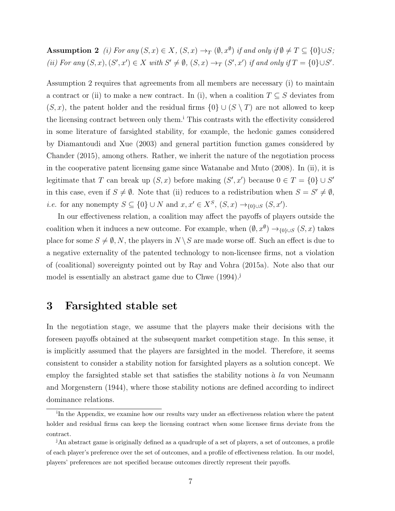**Assumption 2** *(i)* For any  $(S, x) \in X$ ,  $(S, x) \to_T (0, x^{\emptyset})$  if and only if  $\emptyset \neq T \subseteq \{0\} \cup S$ ; (ii) For any  $(S, x), (S', x') \in X$  with  $S' \neq \emptyset$ ,  $(S, x) \rightarrow_T (S', x')$  if and only if  $T = \{0\} \cup S'.$ 

Assumption 2 requires that agreements from all members are necessary (i) to maintain a contract or (ii) to make a new contract. In (i), when a coalition  $T \subseteq S$  deviates from  $(S, x)$ , the patent holder and the residual firms  $\{0\} \cup (S \setminus T)$  are not allowed to keep the licensing contract between only them.<sup>i</sup> This contrasts with the effectivity considered in some literature of farsighted stability, for example, the hedonic games considered by Diamantoudi and Xue (2003) and general partition function games considered by Chander (2015), among others. Rather, we inherit the nature of the negotiation process in the cooperative patent licensing game since Watanabe and Muto (2008). In (ii), it is legitimate that *T* can break up  $(S, x)$  before making  $(S', x')$  because  $0 \in T = \{0\} \cup S'$ in this case, even if  $S \neq \emptyset$ . Note that (ii) reduces to a redistribution when  $S = S' \neq \emptyset$ , *i.e.* for any nonempty  $S \subseteq \{0\} \cup N$  and  $x, x' \in X^S$ ,  $(S, x) \rightarrow_{\{0\} \cup S} (S, x')$ .

In our effectiveness relation, a coalition may affect the payoffs of players outside the coalition when it induces a new outcome. For example, when  $(\emptyset, x^{\emptyset}) \rightarrow_{\{0\} \cup S} (S, x)$  takes place for some  $S \neq \emptyset$ , *N*, the players in  $N \setminus S$  are made worse off. Such an effect is due to a negative externality of the patented technology to non-licensee firms, not a violation of (coalitional) sovereignty pointed out by Ray and Vohra (2015a). Note also that our model is essentially an abstract game due to Chwe  $(1994)^{J}$ 

## **3 Farsighted stable set**

In the negotiation stage, we assume that the players make their decisions with the foreseen payoffs obtained at the subsequent market competition stage. In this sense, it is implicitly assumed that the players are farsighted in the model. Therefore, it seems consistent to consider a stability notion for farsighted players as a solution concept. We employ the farsighted stable set that satisfies the stability notions  $\dot{a}$  la von Neumann and Morgenstern (1944), where those stability notions are defined according to indirect dominance relations.

<sup>&</sup>lt;sup>i</sup>In the Appendix, we examine how our results vary under an effectiveness relation where the patent holder and residual firms can keep the licensing contract when some licensee firms deviate from the contract.

<sup>&</sup>lt;sup>j</sup>An abstract game is originally defined as a quadruple of a set of players, a set of outcomes, a profile of each player's preference over the set of outcomes, and a profile of effectiveness relation. In our model, players' preferences are not specified because outcomes directly represent their payoffs.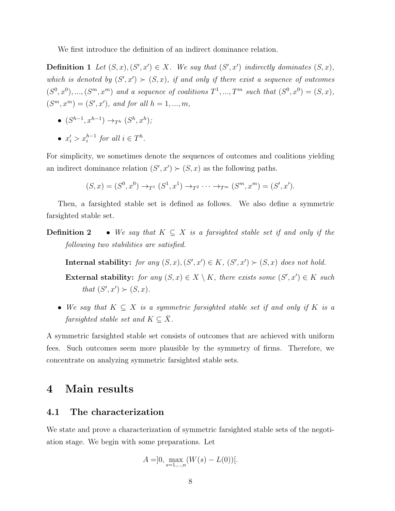We first introduce the definition of an indirect dominance relation.

**Definition 1** Let  $(S, x), (S', x') \in X$ *. We say that*  $(S', x')$  *indirectly dominates*  $(S, x)$ *, which is denoted by*  $(S', x') \succ (S, x)$ , *if and only if there exist a sequence of outcomes*  $(S^0, x^0), ..., (S^m, x^m)$  and a sequence of coalitions  $T^1, ..., T^m$  such that  $(S^0, x^0) = (S, x),$  $(S^m, x^m) = (S', x')$ , and for all  $h = 1, ..., m$ ,

- $(S^{h-1}, x^{h-1}) \rightarrow_{T^h} (S^h, x^h);$
- $x'_i > x_i^{h-1}$  for all  $i \in T^h$ .

For simplicity, we sometimes denote the sequences of outcomes and coalitions yielding an indirect dominance relation  $(S', x') \succ (S, x)$  as the following paths.

$$
(S, x) = (S0, x0) \rightarrow_{T1} (S1, x1) \rightarrow_{T2} \cdots \rightarrow_{Tm} (Sm, xm) = (S', x').
$$

Then, a farsighted stable set is defined as follows. We also define a symmetric farsighted stable set.

**Definition 2** • We say that  $K \subseteq X$  is a farsighted stable set if and only if the *following two stabilities are satisfied.*

**Internal stability:** for any  $(S, x), (S', x') \in K$ ,  $(S', x') \succ (S, x)$  does not hold.

- **External stability:** for any  $(S, x) \in X \setminus K$ , there exists some  $(S', x') \in K$  such *that*  $(S', x') \succ (S, x)$ *.*
- *• We say that K ⊆ X is a symmetric farsighted stable set if and only if K is a farsighted stable set and*  $K \subseteq \overline{X}$ *.*

A symmetric farsighted stable set consists of outcomes that are achieved with uniform fees. Such outcomes seem more plausible by the symmetry of firms. Therefore, we concentrate on analyzing symmetric farsighted stable sets.

### **4 Main results**

#### **4.1 The characterization**

We state and prove a characterization of symmetric farsighted stable sets of the negotiation stage. We begin with some preparations. Let

$$
A = ]0, \max_{s=1,\dots,n} (W(s) - L(0))[.
$$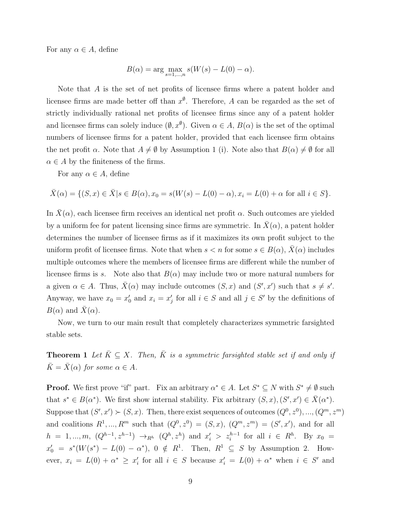For any  $\alpha \in A$ , define

$$
B(\alpha) = \arg \max_{s=1,\dots,n} s(W(s) - L(0) - \alpha).
$$

Note that *A* is the set of net profits of licensee firms where a patent holder and licensee firms are made better off than  $x^{\emptyset}$ . Therefore, A can be regarded as the set of strictly individually rational net profits of licensee firms since any of a patent holder and licensee firms can solely induce  $(\emptyset, x^{\emptyset})$ . Given  $\alpha \in A$ ,  $B(\alpha)$  is the set of the optimal numbers of licensee firms for a patent holder, provided that each licensee firm obtains the net profit *α*. Note that  $A \neq \emptyset$  by Assumption 1 (i). Note also that  $B(\alpha) \neq \emptyset$  for all  $\alpha \in A$  by the finiteness of the firms.

For any  $\alpha \in A$ , define

$$
\bar{X}(\alpha) = \{ (S, x) \in \bar{X} | s \in B(\alpha), x_0 = s(W(s) - L(0) - \alpha), x_i = L(0) + \alpha \text{ for all } i \in S \}.
$$

In  $\bar{X}(\alpha)$ , each licensee firm receives an identical net profit  $\alpha$ . Such outcomes are yielded by a uniform fee for patent licensing since firms are symmetric. In  $\bar{X}(\alpha)$ , a patent holder determines the number of licensee firms as if it maximizes its own profit subject to the uniform profit of licensee firms. Note that when  $s < n$  for some  $s \in B(\alpha)$ ,  $\bar{X}(\alpha)$  includes multiple outcomes where the members of licensee firms are different while the number of licensee firms is *s*. Note also that  $B(\alpha)$  may include two or more natural numbers for a given  $\alpha \in A$ . Thus,  $\bar{X}(\alpha)$  may include outcomes  $(S, x)$  and  $(S', x')$  such that  $s \neq s'$ . Anyway, we have  $x_0 = x'_0$  and  $x_i = x'_j$  for all  $i \in S$  and all  $j \in S'$  by the definitions of  $B(\alpha)$  and  $X(\alpha)$ .

Now, we turn to our main result that completely characterizes symmetric farsighted stable sets.

**Theorem 1** Let  $\bar{K} \subseteq X$ . Then,  $\bar{K}$  is a symmetric farsighted stable set if and only if  $\bar{K} = \bar{X}(\alpha)$  *for some*  $\alpha \in A$ *.* 

**Proof.** We first prove "if" part. Fix an arbitrary  $\alpha^* \in A$ . Let  $S^* \subseteq N$  with  $S^* \neq \emptyset$  such that  $s^* \in B(\alpha^*)$ . We first show internal stability. Fix arbitrary  $(S, x), (S', x') \in \overline{X}(\alpha^*)$ . Suppose that  $(S', x') \succ (S, x)$ . Then, there exist sequences of outcomes  $(Q^0, z^0), ..., (Q^m, z^m)$ and coalitions  $R^1, ..., R^m$  such that  $(Q^0, z^0) = (S, x), (Q^m, z^m) = (S', x')$ , and for all  $h = 1, ..., m, (Q^{h-1}, z^{h-1}) \rightarrow_{R^h} (Q^h, z^h)$  and  $x'_i > z_i^{h-1}$  for all  $i \in R^h$ . By  $x_0 =$  $x'_0 = s^*(W(s^*) - L(0) - \alpha^*)$ , 0  $\notin R^1$ . Then,  $R^1 \subseteq S$  by Assumption 2. However,  $x_i = L(0) + \alpha^* \geq x'_i$  for all  $i \in S$  because  $x'_i = L(0) + \alpha^*$  when  $i \in S'$  and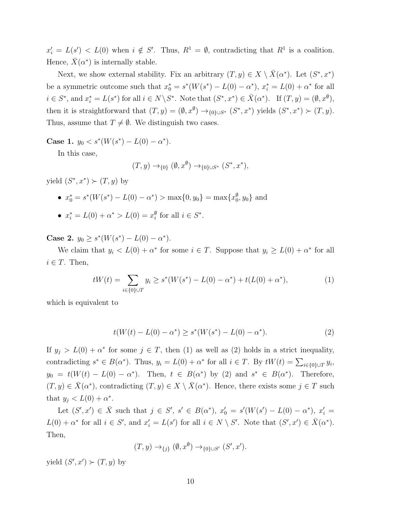$x'_{i} = L(s') < L(0)$  when  $i \notin S'$ . Thus,  $R^{1} = \emptyset$ , contradicting that  $R^{1}$  is a coalition. Hence,  $\bar{X}(\alpha^*)$  is internally stable.

Next, we show external stability. Fix an arbitrary  $(T, y) \in X \setminus \overline{X}(\alpha^*)$ . Let  $(S^*, x^*)$ be a symmetric outcome such that  $x_0^* = s^*(W(s^*) - L(0) - \alpha^*)$ ,  $x_i^* = L(0) + \alpha^*$  for all  $i \in S^*$ , and  $x_i^* = L(s^*)$  for all  $i \in N \backslash S^*$ . Note that  $(S^*, x^*) \in \overline{X}(\alpha^*)$ . If  $(T, y) = (\emptyset, x^{\emptyset})$ , then it is straightforward that  $(T, y) = (\emptyset, x^{\emptyset}) \rightarrow_{\{0\} \cup S^*} (S^*, x^*)$  yields  $(S^*, x^*) \succ (T, y)$ . Thus, assume that  $T \neq \emptyset$ . We distinguish two cases.

**Case 1.**  $y_0 < s^*(W(s^*) - L(0) - \alpha^*)$ .

In this case,

$$
(T, y) \rightarrow_{\{0\}} (\emptyset, x^{\emptyset}) \rightarrow_{\{0\} \cup S^*} (S^*, x^*),
$$

 $yield(S^*, x^*) \succ (T, y)$  by

• 
$$
x_0^* = s^*(W(s^*) - L(0) - \alpha^*)
$$
 > max{0,  $y_0$ } = max{ $x_0^{\emptyset}$ ,  $y_0$ } and

•  $x_i^* = L(0) + \alpha^* > L(0) = x_i^{\emptyset}$  for all  $i \in S^*$ .

**Case 2.**  $y_0 \geq s^*(W(s^*) - L(0) - \alpha^*)$ .

We claim that  $y_i < L(0) + \alpha^*$  for some  $i \in T$ . Suppose that  $y_i \ge L(0) + \alpha^*$  for all  $i \in T$ . Then,

$$
tW(t) = \sum_{i \in \{0\} \cup T} y_i \ge s^*(W(s^*) - L(0) - \alpha^*) + t(L(0) + \alpha^*), \tag{1}
$$

which is equivalent to

$$
t(W(t) - L(0) - \alpha^*) \ge s^*(W(s^*) - L(0) - \alpha^*).
$$
 (2)

If  $y_j > L(0) + \alpha^*$  for some  $j \in T$ , then (1) as well as (2) holds in a strict inequality, contradicting  $s^* \in B(\alpha^*)$ . Thus,  $y_i = L(0) + \alpha^*$  for all  $i \in T$ . By  $tW(t) = \sum_{i \in \{0\} \cup T} y_i$ ,  $y_0 = t(W(t) - L(0) - \alpha^*)$ . Then,  $t \in B(\alpha^*)$  by (2) and  $s^* \in B(\alpha^*)$ . Therefore,  $(T, y) \in \overline{X}(\alpha^*)$ , contradicting  $(T, y) \in X \setminus \overline{X}(\alpha^*)$ . Hence, there exists some  $j \in T$  such that  $y_j < L(0) + \alpha^*$ .

Let  $(S', x') \in \overline{X}$  such that  $j \in S'$ ,  $s' \in B(\alpha^*)$ ,  $x'_0 = s'(W(s') - L(0) - \alpha^*)$ ,  $x'_i =$  $L(0) + \alpha^*$  for all  $i \in S'$ , and  $x'_i = L(s')$  for all  $i \in N \setminus S'$ . Note that  $(S', x') \in \overline{X}(\alpha^*)$ . Then,

$$
(T, y) \rightarrow_{\{j\}} (\emptyset, x^{\emptyset}) \rightarrow_{\{0\} \cup S'} (S', x').
$$

 $yield(S', x') \succ (T, y)$  by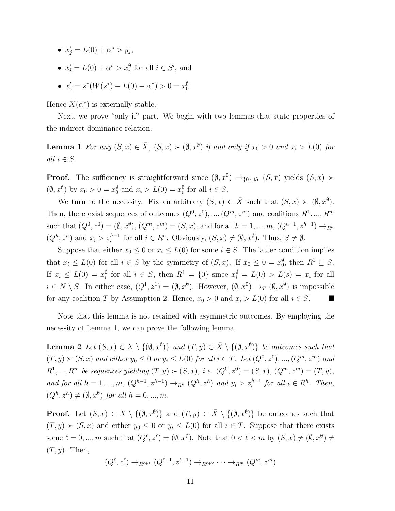- $x'_j = L(0) + \alpha^* > y_j$
- $x_i' = L(0) + \alpha^* > x_i^{\emptyset}$  for all  $i \in S'$ , and
- $x'_0 = s^*(W(s^*) L(0) \alpha^*) > 0 = x_0^{\emptyset}.$

Hence  $\bar{X}(\alpha^*)$  is externally stable.

Next, we prove "only if" part. We begin with two lemmas that state properties of the indirect dominance relation.

**Lemma 1** *For any*  $(S, x) \in \overline{X}$ ,  $(S, x) \succ (\emptyset, x^{\emptyset})$  *if and only if*  $x_0 > 0$  *and*  $x_i > L(0)$  *for*  $all \, i \in S.$ 

**Proof.** The sufficiency is straightforward since  $(\emptyset, x^{\emptyset}) \rightarrow_{\{0\}\cup S} (S, x)$  yields  $(S, x) \succ$  $(\emptyset, x^{\emptyset})$  by  $x_0 > 0 = x_0^{\emptyset}$  and  $x_i > L(0) = x_i^{\emptyset}$  for all  $i \in S$ .

We turn to the necessity. Fix an arbitrary  $(S, x) \in \overline{X}$  such that  $(S, x) \succ (\emptyset, x^{\emptyset})$ . Then, there exist sequences of outcomes  $(Q^0, z^0), ..., (Q^m, z^m)$  and coalitions  $R^1, ..., R^m$ such that  $(Q^0, z^0) = (\emptyset, x^{\emptyset}), (Q^m, z^m) = (S, x)$ , and for all  $h = 1, ..., m, (Q^{h-1}, z^{h-1}) \rightarrow_{R^h}$  $(Q<sup>h</sup>, z<sup>h</sup>)$  and  $x_i > z_i^{h-1}$  for all  $i \in R<sup>h</sup>$ . Obviously,  $(S, x) \neq (\emptyset, x^{\emptyset})$ . Thus,  $S \neq \emptyset$ .

Suppose that either  $x_0 \leq 0$  or  $x_i \leq L(0)$  for some  $i \in S$ . The latter condition implies that  $x_i \leq L(0)$  for all  $i \in S$  by the symmetry of  $(S, x)$ . If  $x_0 \leq 0 = x_0^{\emptyset}$ , then  $R^1 \subseteq S$ . If  $x_i \leq L(0) = x_i^{\emptyset}$  for all  $i \in S$ , then  $R^1 = \{0\}$  since  $x_i^{\emptyset} = L(0) > L(s) = x_i$  for all  $i \in N \setminus S$ . In either case,  $(Q^1, z^1) = (\emptyset, x^{\emptyset})$ . However,  $(\emptyset, x^{\emptyset}) \to_T (\emptyset, x^{\emptyset})$  is impossible for any coalition *T* by Assumption 2. Hence,  $x_0 > 0$  and  $x_i > L(0)$  for all  $i \in S$ .

Note that this lemma is not retained with asymmetric outcomes. By employing the necessity of Lemma 1, we can prove the following lemma.

**Lemma 2** Let  $(S, x) \in X \setminus \{(\emptyset, x^{\emptyset})\}$  and  $(T, y) \in \overline{X} \setminus \{(\emptyset, x^{\emptyset})\}$  be outcomes such that  $(T, y) \succ (S, x)$  and either  $y_0 \leq 0$  or  $y_i \leq L(0)$  for all  $i \in T$ . Let  $(Q^0, z^0), ..., (Q^m, z^m)$  and  $R^1, ..., R^m$  *be sequences yielding*  $(T, y) \succ (S, x)$ *, i.e.*  $(Q^0, z^0) = (S, x)$ *,*  $(Q^m, z^m) = (T, y)$ *,* and for all  $h = 1, ..., m$ ,  $(Q^{h-1}, z^{h-1}) \to_{R^h} (Q^h, z^h)$  and  $y_i > z_i^{h-1}$  for all  $i \in R^h$ . Then,  $(Q^h, z^h) \neq (\emptyset, x^{\emptyset})$  for all  $h = 0, ..., m$ .

**Proof.** Let  $(S, x) \in X \setminus \{(\emptyset, x^{\emptyset})\}$  and  $(T, y) \in \overline{X} \setminus \{(\emptyset, x^{\emptyset})\}$  be outcomes such that  $(T, y)$  *≻* (*S, x*) and either *y*<sub>0</sub> ≤ 0 or *y*<sub>*i*</sub> ≤ *L*(0) for all *i* ∈ *T*. Suppose that there exists some  $\ell = 0, ..., m$  such that  $(Q^{\ell}, z^{\ell}) = (\emptyset, x^{\emptyset})$ . Note that  $0 < \ell < m$  by  $(S, x) \neq (\emptyset, x^{\emptyset}) \neq \emptyset$ (*T, y*). Then,

$$
(Q^{\ell}, z^{\ell}) \rightarrow_{R^{\ell+1}} (Q^{\ell+1}, z^{\ell+1}) \rightarrow_{R^{\ell+2}} \cdots \rightarrow_{R^m} (Q^m, z^m)
$$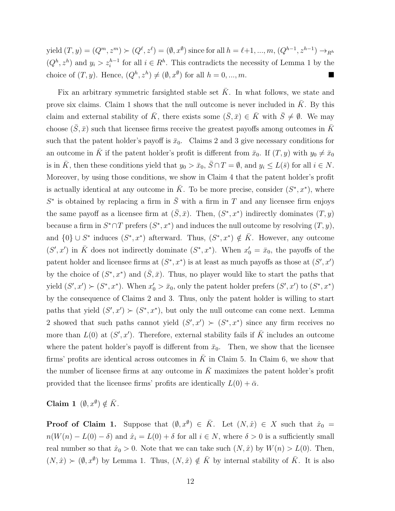yield  $(T, y) = (Q^m, z^m) \succ (Q^{\ell}, z^{\ell}) = (\emptyset, x^{\emptyset})$  since for all  $h = \ell + 1, ..., m, (Q^{h-1}, z^{h-1}) \rightarrow_{R^h}$  $(Q<sup>h</sup>, z<sup>h</sup>)$  and  $y<sub>i</sub> > z<sub>i</sub><sup>h-1</sup>$  for all  $i \in R<sup>h</sup>$ . This contradicts the necessity of Lemma 1 by the choice of  $(T, y)$ . Hence,  $(Q^h, z^h) \neq (\emptyset, x^{\emptyset})$  for all  $h = 0, ..., m$ .

Fix an arbitrary symmetric farsighted stable set  $\overline{K}$ . In what follows, we state and prove six claims. Claim 1 shows that the null outcome is never included in  $\overline{K}$ . By this claim and external stability of  $\bar{K}$ , there exists some  $(\bar{S}, \bar{x}) \in \bar{K}$  with  $\bar{S} \neq \emptyset$ . We may choose  $(\bar{S}, \bar{x})$  such that licensee firms receive the greatest payoffs among outcomes in  $\bar{K}$ such that the patent holder's payoff is  $\bar{x}_0$ . Claims 2 and 3 give necessary conditions for an outcome in  $\overline{K}$  if the patent holder's profit is different from  $\overline{x}_0$ . If  $(T, y)$  with  $y_0 \neq \overline{x}_0$ is in  $\bar{K}$ , then these conditions yield that  $y_0 > \bar{x}_0$ ,  $\bar{S} \cap T = \emptyset$ , and  $y_i \leq L(\bar{s})$  for all  $i \in N$ . Moreover, by using those conditions, we show in Claim 4 that the patent holder's profit is actually identical at any outcome in  $\overline{K}$ . To be more precise, consider  $(S^*, x^*)$ , where  $S^*$  is obtained by replacing a firm in  $\overline{S}$  with a firm in *T* and any licensee firm enjoys the same payoff as a licensee firm at  $(\bar{S}, \bar{x})$ . Then,  $(S^*, x^*)$  indirectly dominates  $(T, y)$ because a firm in  $S^* \cap T$  prefers  $(S^*, x^*)$  and induces the null outcome by resolving  $(T, y)$ , and  $\{0\} \cup S^*$  induces  $(S^*, x^*)$  afterward. Thus,  $(S^*, x^*) \notin \overline{K}$ . However, any outcome (*S'*, *x'*) in  $\overline{K}$  does not indirectly dominate (*S*<sup>\*</sup>, *x*<sup>\*</sup>). When  $x'_0 = \overline{x}_0$ , the payoffs of the patent holder and licensee firms at  $(S^*, x^*)$  is at least as much payoffs as those at  $(S', x')$ by the choice of  $(S^*, x^*)$  and  $(\bar{S}, \bar{x})$ . Thus, no player would like to start the paths that yield  $(S', x') \succ (S^*, x^*)$ . When  $x'_0 > \bar{x}_0$ , only the patent holder prefers  $(S', x')$  to  $(S^*, x^*)$ by the consequence of Claims 2 and 3. Thus, only the patent holder is willing to start paths that yield  $(S', x') \succ (S^*, x^*)$ , but only the null outcome can come next. Lemma 2 showed that such paths cannot yield  $(S', x') \succ (S^*, x^*)$  since any firm receives no more than  $L(0)$  at  $(S', x')$ . Therefore, external stability fails if  $\overline{K}$  includes an outcome where the patent holder's payoff is different from  $\bar{x}_0$ . Then, we show that the licensee firms' profits are identical across outcomes in  $\bar{K}$  in Claim 5. In Claim 6, we show that the number of licensee firms at any outcome in  $\bar{K}$  maximizes the patent holder's profit provided that the licensee firms' profits are identically  $L(0) + \bar{\alpha}$ .

**Claim** 1  $(\emptyset, x^{\emptyset}) \notin \overline{K}$ .

**Proof of Claim 1.** Suppose that  $(\emptyset, x^{\emptyset}) \in \overline{K}$ . Let  $(N, \hat{x}) \in X$  such that  $\hat{x}_0 =$  $n(W(n) - L(0) - \delta)$  and  $\hat{x}_i = L(0) + \delta$  for all  $i \in N$ , where  $\delta > 0$  is a sufficiently small real number so that  $\hat{x}_0 > 0$ . Note that we can take such  $(N, \hat{x})$  by  $W(n) > L(0)$ . Then,  $(N, \hat{x}) \succ (\emptyset, x^{\emptyset})$  by Lemma 1. Thus,  $(N, \hat{x}) \notin \overline{K}$  by internal stability of  $\overline{K}$ . It is also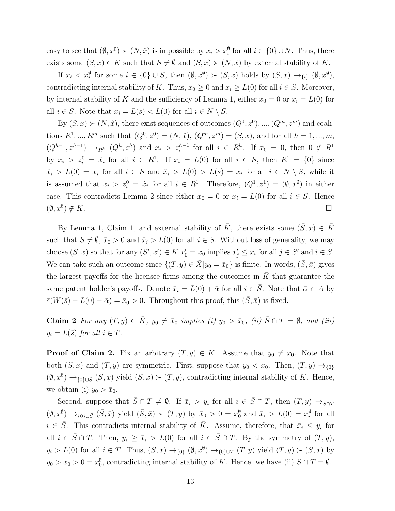easy to see that  $(\emptyset, x^{\emptyset}) \succ (N, \hat{x})$  is impossible by  $\hat{x}_i > x_i^{\emptyset}$  for all  $i \in \{0\} \cup N$ . Thus, there exists some  $(S, x) \in \overline{K}$  such that  $S \neq \emptyset$  and  $(S, x) \succ (N, \hat{x})$  by external stability of  $\overline{K}$ .

If  $x_i < x_i^{\emptyset}$  for some  $i \in \{0\} \cup S$ , then  $(\emptyset, x^{\emptyset}) \succ (S, x)$  holds by  $(S, x) \rightarrow_{\{i\}} (\emptyset, x^{\emptyset})$ , contradicting internal stability of  $\overline{K}$ . Thus,  $x_0 \geq 0$  and  $x_i \geq L(0)$  for all  $i \in S$ . Moreover, by internal stability of  $\overline{K}$  and the sufficiency of Lemma 1, either  $x_0 = 0$  or  $x_i = L(0)$  for all  $i \in S$ . Note that  $x_i = L(s) < L(0)$  for all  $i \in N \setminus S$ .

By  $(S, x) \succ (N, \hat{x})$ , there exist sequences of outcomes  $(Q^0, z^0)$ , ...,  $(Q^m, z^m)$  and coalitions  $R^1, ..., R^m$  such that  $(Q^0, z^0) = (N, \hat{x})$ ,  $(Q^m, z^m) = (S, x)$ , and for all  $h = 1, ..., m$ ,  $(Q^{h-1}, z^{h-1}) \to_{R^h} (Q^h, z^h)$  and  $x_i > z_i^{h-1}$  for all  $i \in R^h$ . If  $x_0 = 0$ , then  $0 \notin R^1$ by  $x_i > z_i^0 = \hat{x}_i$  for all  $i \in R^1$ . If  $x_i = L(0)$  for all  $i \in S$ , then  $R^1 = \{0\}$  since  $\hat{x}_i > L(0) = x_i$  for all  $i \in S$  and  $\hat{x}_i > L(0) > L(s) = x_i$  for all  $i \in N \setminus S$ , while it is assumed that  $x_i > z_i^0 = \hat{x}_i$  for all  $i \in R^1$ . Therefore,  $(Q^1, z^1) = (\emptyset, x^{\emptyset})$  in either case. This contradicts Lemma 2 since either  $x_0 = 0$  or  $x_i = L(0)$  for all  $i \in S$ . Hence  $(\emptyset, x^{\emptyset}) \notin K$ . ) ∉  $\bar{K}$ . □

By Lemma 1, Claim 1, and external stability of  $\bar{K}$ , there exists some  $(\bar{S}, \bar{x}) \in \bar{K}$ such that  $\overline{S} \neq \emptyset$ ,  $\overline{x}_0 > 0$  and  $\overline{x}_i > L(0)$  for all  $i \in \overline{S}$ . Without loss of generality, we may choose  $(\bar{S}, \bar{x})$  so that for any  $(S', x') \in \bar{K} x_0' = \bar{x}_0$  implies  $x_j' \leq \bar{x}_i$  for all  $j \in S'$  and  $i \in \bar{S}$ . We can take such an outcome since  $\{(T, y) \in \overline{X} | y_0 = \overline{x}_0\}$  is finite. In words,  $(\overline{S}, \overline{x})$  gives the largest payoffs for the licensee firms among the outcomes in  $\overline{K}$  that guarantee the same patent holder's payoffs. Denote  $\bar{x}_i = L(0) + \bar{\alpha}$  for all  $i \in \bar{S}$ . Note that  $\bar{\alpha} \in A$  by  $\bar{s}(W(\bar{s}) - L(0) - \bar{\alpha}) = \bar{x}_0 > 0$ . Throughout this proof, this  $(\bar{S}, \bar{x})$  is fixed.

**Claim 2** *For any*  $(T, y) \in \overline{K}$ ,  $y_0 \neq \overline{x}_0$  *implies (i)*  $y_0 > \overline{x}_0$ , *(ii)*  $\overline{S} \cap T = \emptyset$ , *and (iii)*  $y_i = L(\bar{s})$  *for all*  $i \in T$ *.* 

**Proof of Claim 2.** Fix an arbitrary  $(T, y) \in \overline{K}$ . Assume that  $y_0 \neq \overline{x}_0$ . Note that both  $(\bar{S}, \bar{x})$  and  $(T, y)$  are symmetric. First, suppose that  $y_0 < \bar{x}_0$ . Then,  $(T, y) \rightarrow_{\{0\}}$  $(\emptyset, x^{\emptyset}) \to_{\{0\}\cup \bar{S}} (\bar{S}, \bar{x})$  yield  $(\bar{S}, \bar{x}) \succ (T, y)$ , contradicting internal stability of  $\bar{K}$ . Hence, we obtain (i)  $y_0 > \bar{x}_0$ .

Second, suppose that  $\bar{S} \cap T \neq \emptyset$ . If  $\bar{x}_i > y_i$  for all  $i \in \bar{S} \cap T$ , then  $(T, y) \rightarrow_{\bar{S} \cap T} T$  $(\emptyset, x^{\emptyset}) \rightarrow_{\{0\}\cup \bar{S}} (\bar{S}, \bar{x})$  yield  $(\bar{S}, \bar{x}) \succ (T, y)$  by  $\bar{x}_0 > 0 = x_0^{\emptyset}$  and  $\bar{x}_i > L(0) = x_i^{\emptyset}$  for all  $i \in \overline{S}$ . This contradicts internal stability of  $\overline{K}$ . Assume, therefore, that  $\overline{x}_i \leq y_i$  for all  $i \in \overline{S} \cap T$ . Then,  $y_i \ge \overline{x}_i > L(0)$  for all  $i \in \overline{S} \cap T$ . By the symmetry of  $(T, y)$ ,  $y_i > L(0)$  for all  $i \in T$ . Thus,  $(\bar{S}, \bar{x}) \to_{\{0\}} (\emptyset, x^{\emptyset}) \to_{\{0\} \cup T} (T, y)$  yield  $(T, y) \succ (\bar{S}, \bar{x})$  by  $y_0 > \bar{x}_0 > 0 = x_0^{\emptyset}$ , contradicting internal stability of  $\bar{K}$ . Hence, we have (ii)  $\bar{S} \cap T = \emptyset$ .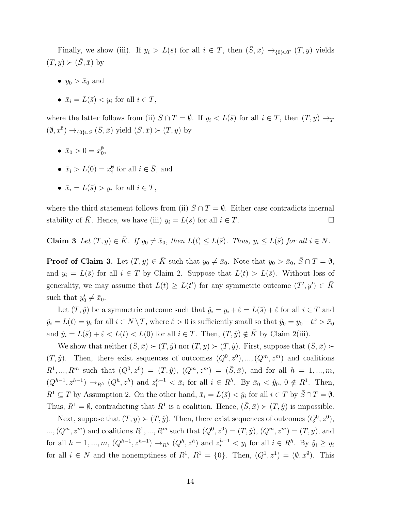Finally, we show (iii). If  $y_i > L(\bar{s})$  for all  $i \in T$ , then  $(\bar{S}, \bar{x}) \to_{\{0\}\cup T} (T, y)$  yields  $(T, y) \succ (\bar{S}, \bar{x})$  by

- $y_0 > \bar{x}_0$  and
- $\bar{x}_i = L(\bar{s}) < y_i$  for all  $i \in T$ ,

where the latter follows from (ii)  $\bar{S} \cap T = \emptyset$ . If  $y_i < L(\bar{s})$  for all  $i \in T$ , then  $(T, y) \to_T T$  $(\emptyset, x^{\emptyset}) \rightarrow_{\{0\} \cup \overline{S}} (\overline{S}, \overline{x})$  yield  $(\overline{S}, \overline{x}) \succ (T, y)$  by

- $\bar{x}_0 > 0 = x_0^{\emptyset}$ ,
- $\bar{x}_i > L(0) = x_i^{\emptyset}$  for all  $i \in \bar{S}$ , and
- $\bar{x}_i = L(\bar{s}) > y_i$  for all  $i \in T$ ,

where the third statement follows from (ii)  $\bar{S} \cap T = \emptyset$ . Either case contradicts internal stability of  $\overline{K}$ . Hence, we have (iii)  $y_i = L(\overline{s})$  for all  $i \in T$ .

**Claim 3** Let  $(T, y) \in K$ . If  $y_0 \neq \bar{x}_0$ , then  $L(t) \leq L(\bar{s})$ . Thus,  $y_i \leq L(\bar{s})$  for all  $i \in N$ .

**Proof of Claim 3.** Let  $(T, y) \in \overline{K}$  such that  $y_0 \neq \overline{x}_0$ . Note that  $y_0 > \overline{x}_0$ ,  $\overline{S} \cap T = \emptyset$ , and  $y_i = L(\bar{s})$  for all  $i \in T$  by Claim 2. Suppose that  $L(t) > L(\bar{s})$ . Without loss of generality, we may assume that  $L(t) \geq L(t')$  for any symmetric outcome  $(T', y') \in \overline{K}$ such that  $y'_{0} \neq \bar{x}_{0}$ .

Let  $(T, \hat{y})$  be a symmetric outcome such that  $\hat{y}_i = y_i + \hat{\varepsilon} = L(\bar{s}) + \hat{\varepsilon}$  for all  $i \in T$  and  $\hat{y}_i = L(t) = y_i$  for all  $i \in N \setminus T$ , where  $\hat{\varepsilon} > 0$  is sufficiently small so that  $\hat{y}_0 = y_0 - t\hat{\varepsilon} > \bar{x}_0$ and  $\hat{y}_i = L(\bar{s}) + \hat{\varepsilon} < L(t) < L(0)$  for all  $i \in T$ . Then,  $(T, \hat{y}) \notin \bar{K}$  by Claim 2(iii).

We show that neither  $(\bar{S}, \bar{x}) \succ (T, \hat{y})$  nor  $(T, y) \succ (T, \hat{y})$ . First, suppose that  $(\bar{S}, \bar{x}) \succ$  $(T, \hat{y})$ . Then, there exist sequences of outcomes  $(Q^0, z^0), ..., (Q^m, z^m)$  and coalitions  $R^1, ..., R^m$  such that  $(Q^0, z^0) = (T, \hat{y}), (Q^m, z^m) = (\bar{S}, \bar{x}),$  and for all  $h = 1, ..., m$ ,  $(Q^{h-1}, z^{h-1}) \to_{R^h} (Q^h, z^h)$  and  $z_i^{h-1} < \bar{x}_i$  for all  $i \in R^h$ . By  $\bar{x}_0 < \hat{y}_0$ ,  $0 \notin R^1$ . Then,  $R^1 \subseteq T$  by Assumption 2. On the other hand,  $\bar{x}_i = L(\bar{s}) < \hat{y}_i$  for all  $i \in T$  by  $\bar{S} \cap T = \emptyset$ . Thus,  $R^1 = \emptyset$ , contradicting that  $R^1$  is a coalition. Hence,  $(\bar{S}, \bar{x}) \succ (T, \hat{y})$  is impossible.

Next, suppose that  $(T, y) \succ (T, \hat{y})$ . Then, there exist sequences of outcomes  $(Q^0, z^0)$ ,  $I_1, \ldots, I_n$  and coalitions  $R^1, \ldots, R^m$  such that  $(Q^0, z^0) = (T, \hat{y}), (Q^m, z^m) = (T, y),$  and for all  $h = 1, ..., m$ ,  $(Q^{h-1}, z^{h-1}) \to_{R^h} (Q^h, z^h)$  and  $z_i^{h-1} < y_i$  for all  $i \in R^h$ . By  $\hat{y}_i \ge y_i$ for all  $i \in N$  and the nonemptiness of  $R^1$ ,  $R^1 = \{0\}$ . Then,  $(Q^1, z^1) = (\emptyset, x^{\emptyset})$ . This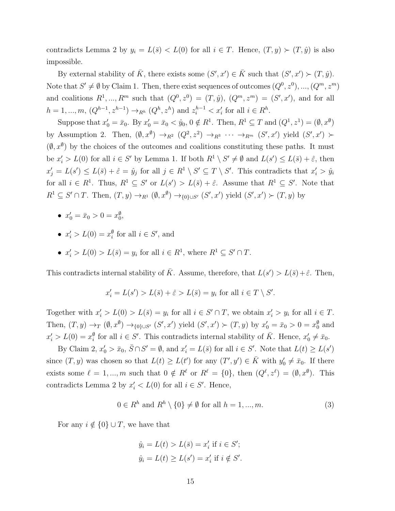contradicts Lemma 2 by  $y_i = L(\bar{s}) < L(0)$  for all  $i \in T$ . Hence,  $(T, y) > (T, \hat{y})$  is also impossible.

By external stability of  $\overline{K}$ , there exists some  $(S', x') \in \overline{K}$  such that  $(S', x') \succ (T, \hat{y})$ . Note that  $S' \neq \emptyset$  by Claim 1. Then, there exist sequences of outcomes  $(Q^0, z^0), ..., (Q^m, z^m)$ and coalitions  $R^1, ..., R^m$  such that  $(Q^0, z^0) = (T, \hat{y}), (Q^m, z^m) = (S', x')$ , and for all  $h = 1, ..., m, (Q^{h-1}, z^{h-1}) \rightarrow_{R^h} (Q^h, z^h)$  and  $z_i^{h-1} < z_i'$  for all  $i \in R^h$ .

Suppose that  $x'_0 = \bar{x}_0$ . By  $x'_0 = \bar{x}_0 < \hat{y}_0$ ,  $0 \notin R^1$ . Then,  $R^1 \subseteq T$  and  $(Q^1, z^1) = (\emptyset, x^{\emptyset})$ by Assumption 2. Then,  $(\emptyset, x^{\emptyset}) \to_{R^2} (Q^2, z^2) \to_{R^3} \cdots \to_{R^m} (S', x')$  yield  $(S', x') \succ$  $(\emptyset, x^{\emptyset})$  by the choices of the outcomes and coalitions constituting these paths. It must be  $x'_i > L(0)$  for all  $i \in S'$  by Lemma 1. If both  $R^1 \setminus S' \neq \emptyset$  and  $L(s') \leq L(\bar{s}) + \hat{\varepsilon}$ , then  $x'_j = L(s') \leq L(\bar{s}) + \hat{\varepsilon} = \hat{y}_j$  for all  $j \in R^1 \setminus S' \subseteq T \setminus S'$ . This contradicts that  $x'_i > \hat{y}_i$ for all  $i \in R^1$ . Thus,  $R^1 \subseteq S'$  or  $L(s') > L(\bar{s}) + \hat{\varepsilon}$ . Assume that  $R^1 \subseteq S'$ . Note that  $R^1 \subseteq S' \cap T$ . Then,  $(T, y) \to_{R^1} (\emptyset, x^{\emptyset}) \to_{\{0\} \cup S'} (S', x')$  yield  $(S', x') \succ (T, y)$  by

- $x'_0 = \bar{x}_0 > 0 = x_0^{\emptyset}$
- $x'_i > L(0) = x_i^{\emptyset}$  for all  $i \in S'$ , and
- $x'_i > L(0) > L(\bar{s}) = y_i$  for all  $i \in R^1$ , where  $R^1 \subseteq S' \cap T$ .

This contradicts internal stability of  $\bar{K}$ . Assume, therefore, that  $L(s') > L(\bar{s}) + \hat{\varepsilon}$ . Then,

$$
x'_i = L(s') > L(\bar{s}) + \hat{\varepsilon} > L(\bar{s}) = y_i \text{ for all } i \in T \setminus S'.
$$

Together with  $x'_i > L(0) > L(\bar{s}) = y_i$  for all  $i \in S' \cap T$ , we obtain  $x'_i > y_i$  for all  $i \in T$ . Then,  $(T, y) \to_T (\emptyset, x^{\emptyset}) \to_{\{0\} \cup S'} (S', x')$  yield  $(S', x') \succ (T, y)$  by  $x'_0 = \bar{x}_0 > 0 = x_0^{\emptyset}$  and  $x'_i > L(0) = x_i^{\emptyset}$  for all  $i \in S'$ . This contradicts internal stability of  $\overline{K}$ . Hence,  $x'_0 \neq \overline{x}_0$ .

By Claim 2,  $x'_0 > \bar{x}_0$ ,  $\bar{S} \cap S' = \emptyset$ , and  $x'_i = L(\bar{s})$  for all  $i \in S'$ . Note that  $L(t) \ge L(s')$ since  $(T, y)$  was chosen so that  $L(t) \ge L(t')$  for any  $(T', y') \in \overline{K}$  with  $y'_0 \ne \overline{x}_0$ . If there exists some  $\ell = 1, ..., m$  such that  $0 \notin R^{\ell}$  or  $R^{\ell} = \{0\}$ , then  $(Q^{\ell}, z^{\ell}) = (\emptyset, x^{\emptyset})$ . This contradicts Lemma 2 by  $x'_i < L(0)$  for all  $i \in S'$ . Hence,

$$
0 \in R^h \text{ and } R^h \setminus \{0\} \neq \emptyset \text{ for all } h = 1, ..., m. \tag{3}
$$

For any  $i \notin \{0\} \cup T$ , we have that

$$
\hat{y}_i = L(t) > L(\bar{s}) = x'_i \text{ if } i \in S';
$$
\n
$$
\hat{y}_i = L(t) \ge L(s') = x'_i \text{ if } i \notin S'.
$$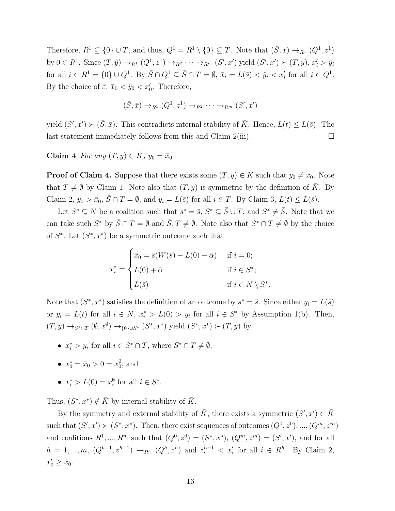Therefore,  $R^1 \subseteq \{0\} \cup T$ , and thus,  $Q^1 = R^1 \setminus \{0\} \subseteq T$ . Note that  $(\bar{S}, \bar{x}) \to_{R^1} (Q^1, z^1)$ by  $0 \in R^1$ . Since  $(T, \hat{y}) \to_{R^1} (Q^1, z^1) \to_{R^2} \cdots \to_{R^m} (S', x')$  yield  $(S', x') \succ (T, \hat{y}), x'_i > \hat{y}_i$ for all  $i \in R^1 = \{0\} \cup Q^1$ . By  $\bar{S} \cap Q^1 \subseteq \bar{S} \cap T = \emptyset$ ,  $\bar{x}_i = L(\bar{s}) < \hat{y}_i < x'_i$  for all  $i \in Q^1$ . By the choice of  $\hat{\varepsilon}$ ,  $\bar{x}_0 < \hat{y}_0 < x'_0$ . Therefore,

$$
(\bar{S}, \bar{x}) \rightarrow_{R^1} (Q^1, z^1) \rightarrow_{R^2} \cdots \rightarrow_{R^m} (S', x')
$$

yield  $(S', x') \succ (\bar{S}, \bar{x})$ . This contradicts internal stability of  $\bar{K}$ . Hence,  $L(t) \leq L(\bar{s})$ . The last statement immediately follows from this and Claim  $2(iii)$ .  $\Box$ 

**Claim 4** *For any*  $(T, y) \in \overline{K}$ ,  $y_0 = \overline{x}_0$ 

**Proof of Claim 4.** Suppose that there exists some  $(T, y) \in \overline{K}$  such that  $y_0 \neq \overline{x}_0$ . Note that  $T \neq \emptyset$  by Claim 1. Note also that  $(T, y)$  is symmetric by the definition of  $\overline{K}$ . By Claim 2,  $y_0 > \bar{x}_0$ ,  $\bar{S} \cap T = \emptyset$ , and  $y_i = L(\bar{s})$  for all  $i \in T$ . By Claim 3,  $L(t) \leq L(\bar{s})$ .

Let  $S^* \subseteq N$  be a coalition such that  $s^* = \overline{s}$ ,  $S^* \subseteq \overline{S} \cup T$ , and  $S^* \neq \overline{S}$ . Note that we can take such  $S^*$  by  $\overline{S} \cap T = \emptyset$  and  $\overline{S}, T \neq \emptyset$ . Note also that  $S^* \cap T \neq \emptyset$  by the choice of  $S^*$ . Let  $(S^*, x^*)$  be a symmetric outcome such that

$$
x_i^* = \begin{cases} \bar{x}_0 = \bar{s}(W(\bar{s}) - L(0) - \bar{\alpha}) & \text{if } i = 0; \\ L(0) + \bar{\alpha} & \text{if } i \in S^*; \\ L(\bar{s}) & \text{if } i \in N \setminus S \end{cases}
$$

Note that  $(S^*, x^*)$  satisfies the definition of an outcome by  $s^* = \overline{s}$ . Since either  $y_i = L(\overline{s})$ or  $y_i = L(t)$  for all  $i \in N$ ,  $x_i^* > L(0) > y_i$  for all  $i \in S^*$  by Assumption 1(b). Then,  $(T, y) \rightarrow_{S^*\cap T} (\emptyset, x^{\emptyset}) \rightarrow_{\{0\}\cup S^*} (S^*, x^*)$  yield  $(S^*, x^*) \succ (T, y)$  by

*∗ .*

- *•*  $x_i^*$  *>*  $y_i$  for all  $i \in S^* \cap T$ , where  $S^* \cap T \neq \emptyset$ ,
- $x_0^* = \bar{x}_0 > 0 = x_0^{\emptyset}$ , and
- $x_i^* > L(0) = x_i^{\emptyset}$  for all  $i \in S^*$ .

Thus,  $(S^*, x^*) \notin \overline{K}$  by internal stability of  $\overline{K}$ .

By the symmetry and external stability of  $\overline{K}$ , there exists a symmetric  $(S', x') \in \overline{K}$ such that  $(S', x') \succ (S^*, x^*)$ . Then, there exist sequences of outcomes  $(Q^0, z^0), ..., (Q^m, z^m)$ and coalitions  $R^1, ..., R^m$  such that  $(Q^0, z^0) = (S^*, x^*)$ ,  $(Q^m, z^m) = (S', x')$ , and for all  $h = 1, ..., m, (Q^{h-1}, z^{h-1}) \rightarrow_{R^h} (Q^h, z^h)$  and  $z_i^{h-1} < z_i'$  for all  $i \in R^h$ . By Claim 2,  $x'_0 \geq \bar{x}_0.$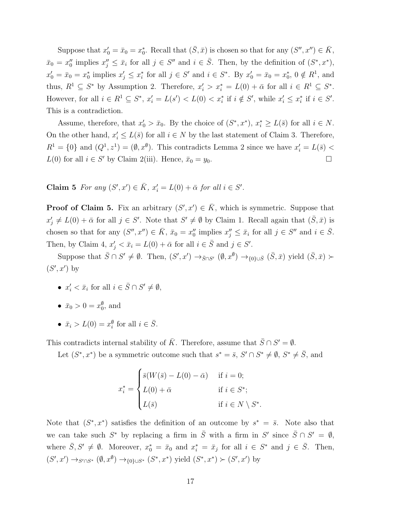Suppose that  $x'_0 = \bar{x}_0 = x_0^*$ . Recall that  $(\bar{S}, \bar{x})$  is chosen so that for any  $(S'', x'') \in \bar{K}$ ,  $\bar{x}_0 = x_0''$  implies  $x_j'' \leq \bar{x}_i$  for all  $j \in S''$  and  $i \in \bar{S}$ . Then, by the definition of  $(S^*, x^*)$ ,  $x'_0 = \bar{x}_0 = x_0^*$  implies  $x'_j \leq x_i^*$  for all  $j \in S'$  and  $i \in S^*$ . By  $x'_0 = \bar{x}_0 = x_0^*$ ,  $0 \notin R^1$ , and thus,  $R^1 \subseteq S^*$  by Assumption 2. Therefore,  $x'_i > x^*_i = L(0) + \bar{\alpha}$  for all  $i \in R^1 \subseteq S^*$ . However, for all  $i \in R^1 \subseteq S^*$ ,  $x'_i = L(s') < L(0) < x_i^*$  if  $i \notin S'$ , while  $x'_i \leq x_i^*$  if  $i \in S'$ . This is a contradiction.

Assume, therefore, that  $x'_0 > \bar{x}_0$ . By the choice of  $(S^*, x^*)$ ,  $x_i^* \ge L(\bar{s})$  for all  $i \in N$ . On the other hand,  $x'_{i} \leq L(\bar{s})$  for all  $i \in N$  by the last statement of Claim 3. Therefore,  $R^1 = \{0\}$  and  $(Q^1, z^1) = (\emptyset, x^{\emptyset})$ . This contradicts Lemma 2 since we have  $x'_i = L(\bar{s})$ *L*(0) for all  $i \in S'$  by Claim 2(iii). Hence,  $\bar{x}_0 = y_0$ . □

**Claim 5** *For any*  $(S', x') \in \overline{K}$ ,  $x'_i = L(0) + \overline{\alpha}$  *for all*  $i \in S'$ .

**Proof of Claim 5.** Fix an arbitrary  $(S', x') \in \overline{K}$ , which is symmetric. Suppose that  $x'_{j} \neq L(0) + \bar{\alpha}$  for all  $j \in S'$ . Note that  $S' \neq \emptyset$  by Claim 1. Recall again that  $(\bar{S}, \bar{x})$  is chosen so that for any  $(S'', x'') \in \overline{K}$ ,  $\overline{x}_0 = x_0''$  implies  $x_j'' \leq \overline{x}_i$  for all  $j \in S''$  and  $i \in \overline{S}$ . Then, by Claim 4,  $x'_j < \bar{x}_i = L(0) + \bar{\alpha}$  for all  $i \in \bar{S}$  and  $j \in S'$ .

Suppose that  $\bar{S} \cap S' \neq \emptyset$ . Then,  $(S', x') \to_{\bar{S} \cap S'} (\emptyset, x^{\emptyset}) \to_{\{0\} \cup \bar{S}} (\bar{S}, \bar{x})$  yield  $(\bar{S}, \bar{x}) \succ$ (*S ′ , x′* ) by

- $x'_i < \bar{x}_i$  for all  $i \in \bar{S} \cap S' \neq \emptyset$ ,
- $\bar{x}_0 > 0 = x_0^{\emptyset}$ , and
- $\bar{x}_i > L(0) = x_i^{\emptyset}$  for all  $i \in \bar{S}$ .

This contradicts internal stability of  $\overline{K}$ . Therefore, assume that  $\overline{S} \cap S' = \emptyset$ .

Let  $(S^*, x^*)$  be a symmetric outcome such that  $s^* = \overline{s}$ ,  $S' \cap S^* \neq \emptyset$ ,  $S^* \neq \overline{S}$ , and

$$
x_i^* = \begin{cases} \bar{s}(W(\bar{s}) - L(0) - \bar{\alpha}) & \text{if } i = 0; \\ L(0) + \bar{\alpha} & \text{if } i \in S^*; \\ L(\bar{s}) & \text{if } i \in N \setminus S^* \end{cases}
$$

*.*

Note that  $(S^*, x^*)$  satisfies the definition of an outcome by  $s^* = \overline{s}$ . Note also that we can take such  $S^*$  by replacing a firm in  $\overline{S}$  with a firm in  $S'$  since  $\overline{S} \cap S' = \emptyset$ , where  $\bar{S}, S' \neq \emptyset$ . Moreover,  $x_0^* = \bar{x}_0$  and  $x_i^* = \bar{x}_j$  for all  $i \in S^*$  and  $j \in \bar{S}$ . Then,  $(S', x') \to_{S' \cap S^*} (\emptyset, x^{\emptyset}) \to_{\{0\} \cup S^*} (S^*, x^*)$  yield  $(S^*, x^*) \succ (S', x')$  by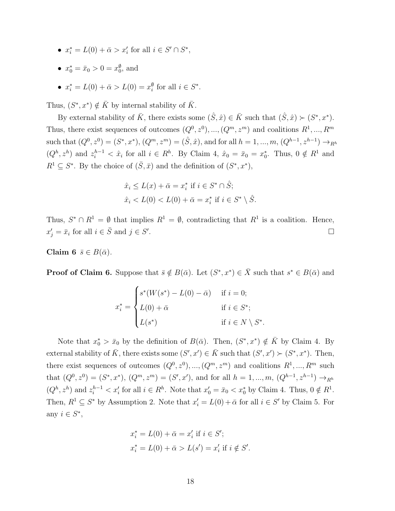- $x_i^* = L(0) + \bar{\alpha} > x_i'$  for all  $i \in S' \cap S^*$ ,
- $x_0^* = \bar{x}_0 > 0 = x_0^{\emptyset}$ , and
- $x_i^* = L(0) + \bar{\alpha} > L(0) = x_i^{\emptyset}$  for all  $i \in S^*$ .

Thus,  $(S^*, x^*) \notin \overline{K}$  by internal stability of  $\overline{K}$ .

By external stability of  $\bar{K}$ , there exists some  $(\hat{S}, \hat{x}) \in \bar{K}$  such that  $(\hat{S}, \hat{x}) \succ (S^*, x^*)$ . Thus, there exist sequences of outcomes  $(Q^0, z^0), ..., (Q^m, z^m)$  and coalitions  $R^1, ..., R^m$ such that  $(Q^0, z^0) = (S^*, x^*), (Q^m, z^m) = (\hat{S}, \hat{x})$ , and for all  $h = 1, ..., m, (Q^{h-1}, z^{h-1}) \rightarrow_{R^h}$  $(Q<sup>h</sup>, z<sup>h</sup>)$  and  $z<sup>h-1</sup> < \hat{x}<sub>i</sub>$  for all  $i \in R<sup>h</sup>$ . By Claim 4,  $\hat{x}<sub>0</sub> = \bar{x}<sub>0</sub> = x<sup>*</sup><sub>0</sub>$ . Thus,  $0 \notin R<sup>1</sup>$  and  $R^1 \subseteq S^*$ . By the choice of  $(\bar{S}, \bar{x})$  and the definition of  $(S^*, x^*)$ ,

$$
\hat{x}_i \le L(x) + \bar{\alpha} = x_i^* \text{ if } i \in S^* \cap \hat{S};
$$
  

$$
\hat{x}_i < L(0) < L(0) + \bar{\alpha} = x_i^* \text{ if } i \in S^* \setminus \hat{S}.
$$

Thus,  $S^* \cap R^1 = \emptyset$  that implies  $R^1 = \emptyset$ , contradicting that  $R^1$  is a coalition. Hence,  $x'_{j} = \bar{x}_{i}$  for all  $i \in \bar{S}$  and  $j \in S'$ . □

**Claim 6**  $\bar{s} \in B(\bar{\alpha})$ .

**Proof of Claim 6.** Suppose that  $\bar{s} \notin B(\bar{\alpha})$ . Let  $(S^*, x^*) \in \bar{X}$  such that  $s^* \in B(\bar{\alpha})$  and

$$
x_i^* = \begin{cases} s^*(W(s^*) - L(0) - \bar{\alpha}) & \text{if } i = 0; \\ L(0) + \bar{\alpha} & \text{if } i \in S^*; \\ L(s^*) & \text{if } i \in N \setminus S \end{cases}
$$

*∗ .*

Note that  $x_0^* > \bar{x}_0$  by the definition of  $B(\bar{\alpha})$ . Then,  $(S^*, x^*) \notin \bar{K}$  by Claim 4. By external stability of  $\overline{K}$ , there exists some  $(S', x') \in \overline{K}$  such that  $(S', x') \succ (S^*, x^*)$ . Then, there exist sequences of outcomes  $(Q^0, z^0), ..., (Q^m, z^m)$  and coalitions  $R^1, ..., R^m$  such that  $(Q^0, z^0) = (S^*, x^*)$ ,  $(Q^m, z^m) = (S', x')$ , and for all  $h = 1, ..., m$ ,  $(Q^{h-1}, z^{h-1}) \rightarrow_{R^h}$  $(Q<sup>h</sup>, z<sup>h</sup>)$  and  $z<sup>h-1</sup> < z'<sub>i</sub>$  for all  $i \in R<sup>h</sup>$ . Note that  $x'<sub>0</sub> = \bar{x}<sub>0</sub> < z<sup>*</sup><sub>0</sub>$  by Claim 4. Thus,  $0 \notin R<sup>1</sup>$ . Then,  $R^1 \subseteq S^*$  by Assumption 2. Note that  $x'_i = L(0) + \bar{\alpha}$  for all  $i \in S'$  by Claim 5. For any  $i \in S^*$ ,

$$
x_i^* = L(0) + \bar{\alpha} = x_i' \text{ if } i \in S';
$$
  

$$
x_i^* = L(0) + \bar{\alpha} > L(s') = x_i' \text{ if } i \notin S'.
$$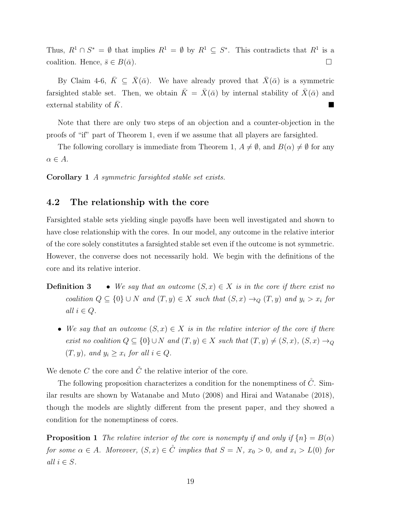Thus,  $R^1 \cap S^* = \emptyset$  that implies  $R^1 = \emptyset$  by  $R^1 \subseteq S^*$ . This contradicts that  $R^1$  is a coalition. Hence,  $\bar{s} \in B(\bar{\alpha})$ .

By Claim 4-6,  $\bar{K} \subseteq \bar{X}(\bar{\alpha})$ . We have already proved that  $\bar{X}(\bar{\alpha})$  is a symmetric farsighted stable set. Then, we obtain  $\bar{K} = \bar{X}(\bar{\alpha})$  by internal stability of  $\bar{X}(\bar{\alpha})$  and external stability of  $\bar{K}$ .

Note that there are only two steps of an objection and a counter-objection in the proofs of "if" part of Theorem 1, even if we assume that all players are farsighted.

The following corollary is immediate from Theorem 1,  $A \neq \emptyset$ , and  $B(\alpha) \neq \emptyset$  for any  $\alpha \in A$ .

**Corollary 1** *A symmetric farsighted stable set exists.*

### **4.2 The relationship with the core**

Farsighted stable sets yielding single payoffs have been well investigated and shown to have close relationship with the cores. In our model, any outcome in the relative interior of the core solely constitutes a farsighted stable set even if the outcome is not symmetric. However, the converse does not necessarily hold. We begin with the definitions of the core and its relative interior.

- **Definition 3** *We say that an outcome*  $(S, x) \in X$  *is in the core if there exist no coalition*  $Q \subseteq \{0\} \cup N$  *and*  $(T, y) \in X$  *such that*  $(S, x) \rightarrow_Q (T, y)$  *and*  $y_i > x_i$  *for*  $all \ i \in Q$ .
	- We say that an outcome  $(S, x) \in X$  *is in the relative interior of the core if there exist no coalition*  $Q \subseteq \{0\} \cup N$  *and*  $(T, y) \in X$  *such that*  $(T, y) \neq (S, x)$ ,  $(S, x) \rightarrow_Q$  $(T, y)$ *, and*  $y_i \geq x_i$  *for all*  $i \in Q$ *.*

We denote C the core and  $\overset{\circ}{C}$  the relative interior of the core.

The following proposition characterizes a condition for the nonemptiness of  $\check{C}$ . Similar results are shown by Watanabe and Muto (2008) and Hirai and Watanabe (2018), though the models are slightly different from the present paper, and they showed a condition for the nonemptiness of cores.

**Proposition 1** *The relative interior of the core is nonempty if and only if*  ${n} = B(\alpha)$ *for some*  $\alpha \in A$ *. Moreover,*  $(S, x) \in \mathring{C}$  *implies that*  $S = N$ *,*  $x_0 > 0$ *, and*  $x_i > L(0)$  *for*  $all \, i \in S.$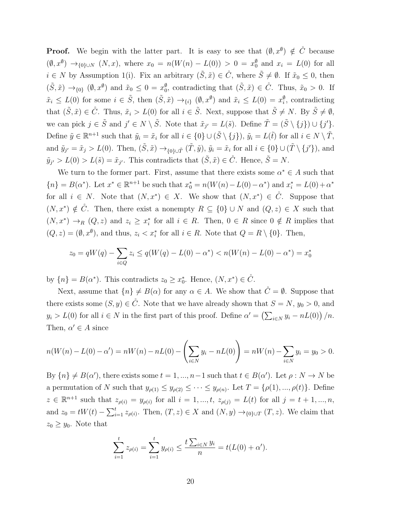**Proof.** We begin with the latter part. It is easy to see that  $(\emptyset, x^{\emptyset}) \notin C$  because  $(\emptyset, x^{\emptyset}) \to_{\{0\} \cup N} (N, x)$ , where  $x_0 = n(W(n) - L(0)) > 0 = x_0^{\emptyset}$  and  $x_i = L(0)$  for all *i* ∈ *N* by Assumption 1(i). Fix an arbitrary  $(\tilde{S}, \tilde{x}) \in \mathcal{C}$ , where  $\tilde{S} \neq \emptyset$ . If  $\tilde{x}_0 \leq 0$ , then  $(\tilde{S}, \tilde{x}) \rightarrow_{\{0\}} (\emptyset, x^{\emptyset})$  and  $\tilde{x}_0 \leq 0 = x_0^{\emptyset}$ , contradicting that  $(\tilde{S}, \tilde{x}) \in \mathring{C}$ . Thus,  $\tilde{x}_0 > 0$ . If  $\tilde{x}_i \leq L(0)$  for some  $i \in \tilde{S}$ , then  $(\tilde{S}, \tilde{x}) \to_{\{i\}} (\emptyset, x^{\emptyset})$  and  $\tilde{x}_i \leq L(0) = x_i^{\emptyset}$ , contradicting that  $(\tilde{S}, \tilde{x}) \in \mathring{C}$ . Thus,  $\tilde{x}_i > L(0)$  for all  $i \in \tilde{S}$ . Next, suppose that  $\tilde{S} \neq N$ . By  $\tilde{S} \neq \emptyset$ , we can pick  $j \in \tilde{S}$  and  $j' \in N \setminus \tilde{S}$ . Note that  $\tilde{x}_{j'} = L(\tilde{s})$ . Define  $\tilde{T} = (\tilde{S} \setminus \{j\}) \cup \{j'\}.$ Define  $\tilde{y} \in \mathbb{R}^{n+1}$  such that  $\tilde{y}_i = \tilde{x}_i$  for all  $i \in \{0\} \cup (\tilde{S} \setminus \{j\}), \tilde{y}_i = L(\tilde{t})$  for all  $i \in N \setminus \tilde{T}$ , and  $\tilde{y}_{j'} = \tilde{x}_j > L(0)$ . Then,  $(\tilde{S}, \tilde{x}) \rightarrow_{\{0\} \cup \tilde{T}} (\tilde{T}, \tilde{y}), \tilde{y}_i = \tilde{x}_i$  for all  $i \in \{0\} \cup (\tilde{T} \setminus \{j'\})$ , and  $\tilde{y}_{j'} > L(0) > L(\tilde{s}) = \tilde{x}_{j'}$ . This contradicts that  $(\tilde{S}, \tilde{x}) \in \mathring{C}$ . Hence,  $\tilde{S} = N$ .

We turn to the former part. First, assume that there exists some  $\alpha^* \in A$  such that  ${n} = B(\alpha^*).$  Let  $x^* \in \mathbb{R}^{n+1}$  be such that  $x_0^* = n(W(n) - L(0) - \alpha^*)$  and  $x_i^* = L(0) + \alpha^*$ for all  $i \in N$ . Note that  $(N, x^*) \in X$ . We show that  $(N, x^*) \in \mathring{C}$ . Suppose that  $(N, x^*)$  ∉  $\overset{\circ}{C}$ . Then, there exist a nonempty  $R \subseteq \{0\}$  ∪ *N* and  $(Q, z) \in X$  such that  $(N, x^*) \rightarrow_R (Q, z)$  and  $z_i \geq x_i^*$  for all  $i \in R$ . Then,  $0 \in R$  since  $0 \notin R$  implies that  $(Q, z) = (\emptyset, x^{\emptyset})$ , and thus,  $z_i < x_i^*$  for all  $i \in R$ . Note that  $Q = R \setminus \{0\}$ . Then,

$$
z_0 = qW(q) - \sum_{i \in Q} z_i \le q(W(q) - L(0) - \alpha^*) < n(W(n) - L(0) - \alpha^*) = x_0^*
$$

by  ${n}$  =  $B(\alpha^*)$ . This contradicts  $z_0 \ge x_0^*$ . Hence,  $(N, x^*) \in \mathring{C}$ .

Next, assume that  ${n \nmid \neq B(\alpha)$  for any  $\alpha \in A$ . We show that  $\mathcal{C} = \emptyset$ . Suppose that there exists some  $(S, y) \in \mathring{C}$ . Note that we have already shown that  $S = N$ ,  $y_0 > 0$ , and  $y_i > L(0)$  for all  $i \in N$  in the first part of this proof. Define  $\alpha' = (\sum_{i \in N} y_i - nL(0)) / n$ . Then,  $\alpha' \in A$  since

$$
n(W(n) - L(0) - \alpha') = nW(n) - nL(0) - \left(\sum_{i \in N} y_i - nL(0)\right) = nW(n) - \sum_{i \in N} y_i = y_0 > 0.
$$

By  ${n} \neq B(\alpha')$ , there exists some  $t = 1, ..., n-1$  such that  $t \in B(\alpha')$ . Let  $\rho : N \to N$  be a permutation of *N* such that  $y_{\rho(1)} \leq y_{\rho(2)} \leq \cdots \leq y_{\rho(n)}$ . Let  $T = {\rho(1), ..., \rho(t)}$ . Define  $z \in \mathbb{R}^{n+1}$  such that  $z_{\rho(i)} = y_{\rho(i)}$  for all  $i = 1, ..., t$ ,  $z_{\rho(j)} = L(t)$  for all  $j = t + 1, ..., n$ , and  $z_0 = tW(t) - \sum_{i=1}^t z_{\rho(i)}$ . Then,  $(T, z) \in X$  and  $(N, y) \to_{\{0\} \cup T} (T, z)$ . We claim that  $z_0 \geq y_0$ . Note that

$$
\sum_{i=1}^{t} z_{\rho(i)} = \sum_{i=1}^{t} y_{\rho(i)} \le \frac{t \sum_{i \in N} y_i}{n} = t(L(0) + \alpha').
$$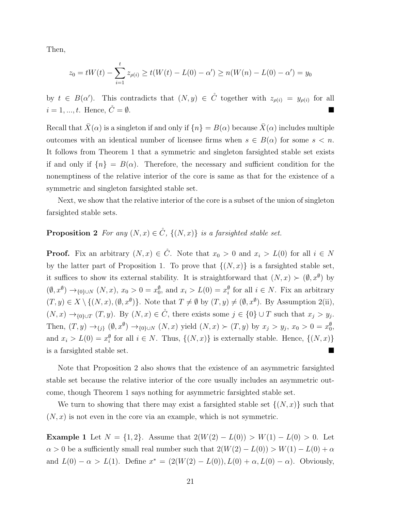Then,

$$
z_0 = tW(t) - \sum_{i=1}^t z_{\rho(i)} \ge t(W(t) - L(0) - \alpha') \ge n(W(n) - L(0) - \alpha') = y_0
$$

by  $t \in B(\alpha')$ . This contradicts that  $(N, y) \in \mathring{C}$  together with  $z_{\rho(i)} = y_{\rho(i)}$  for all  $i = 1, ..., t$ . Hence,  $\mathring{C} = \emptyset$ .

Recall that  $\bar{X}(\alpha)$  is a singleton if and only if  $\{n\} = B(\alpha)$  because  $\bar{X}(\alpha)$  includes multiple outcomes with an identical number of licensee firms when  $s \in B(\alpha)$  for some  $s < n$ . It follows from Theorem 1 that a symmetric and singleton farsighted stable set exists if and only if  ${n} = B(\alpha)$ . Therefore, the necessary and sufficient condition for the nonemptiness of the relative interior of the core is same as that for the existence of a symmetric and singleton farsighted stable set.

Next, we show that the relative interior of the core is a subset of the union of singleton farsighted stable sets.

### **Proposition 2** *For any*  $(N, x) \in \mathring{C}$ ,  $\{(N, x)\}\$ is a farsighted stable set.

**Proof.** Fix an arbitrary  $(N, x) \in \mathcal{C}$ . Note that  $x_0 > 0$  and  $x_i > L(0)$  for all  $i \in N$ by the latter part of Proposition 1. To prove that  $\{(N, x)\}\$ is a farsighted stable set, it suffices to show its external stability. It is straightforward that  $(N, x) \succ (\emptyset, x^{\emptyset})$  by  $(\emptyset, x^{\emptyset}) \rightarrow_{\{0\}\cup N} (N, x), x_0 > 0 = x_0^{\emptyset}$ , and  $x_i > L(0) = x_i^{\emptyset}$  for all  $i \in N$ . Fix an arbitrary  $(T, y) \in X \setminus \{(N, x), (\emptyset, x^{\emptyset})\}.$  Note that  $T \neq \emptyset$  by  $(T, y) \neq (\emptyset, x^{\emptyset})$ . By Assumption 2(ii),  $(N, x) \rightarrow_{\{0\} \cup T} (T, y)$ . By  $(N, x) \in \mathring{C}$ , there exists some  $j \in \{0\} \cup T$  such that  $x_j > y_j$ . Then,  $(T, y) \to_{\{j\}} (\emptyset, x^{\emptyset}) \to_{\{0\} \cup N} (N, x)$  yield  $(N, x) \succ (T, y)$  by  $x_j > y_j$ ,  $x_0 > 0 = x_0^{\emptyset}$ , and  $x_i > L(0) = x_i^{\emptyset}$  for all  $i \in N$ . Thus,  $\{(N, x)\}$  is externally stable. Hence,  $\{(N, x)\}$ is a farsighted stable set.

Note that Proposition 2 also shows that the existence of an asymmetric farsighted stable set because the relative interior of the core usually includes an asymmetric outcome, though Theorem 1 says nothing for asymmetric farsighted stable set.

We turn to showing that there may exist a farsighted stable set  $\{(N, x)\}\$  such that  $(N, x)$  is not even in the core via an example, which is not symmetric.

**Example 1** Let  $N = \{1, 2\}$ . Assume that  $2(W(2) - L(0)) > W(1) - L(0) > 0$ . Let  $\alpha > 0$  be a sufficiently small real number such that  $2(W(2) - L(0)) > W(1) - L(0) + \alpha$ and  $L(0) - \alpha > L(1)$ . Define  $x^* = (2(W(2) - L(0)), L(0) + \alpha, L(0) - \alpha)$ . Obviously,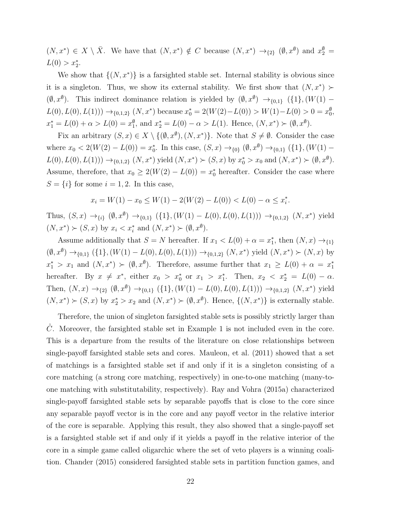$(N, x^*) \in X \setminus \overline{X}$ . We have that  $(N, x^*) \notin C$  because  $(N, x^*) \rightarrow_{2} (0, x^0)$  and  $x_2^0 =$  $L(0) > x_2^*$ .

We show that  $\{(N, x^*)\}$  is a farsighted stable set. Internal stability is obvious since it is a singleton. Thus, we show its external stability. We first show that  $(N, x^*)$  *≻*  $(\emptyset, x^{\emptyset})$ . This indirect dominance relation is yielded by  $(\emptyset, x^{\emptyset}) \rightarrow_{\{0,1\}} (\{1\}, (W(1) L(0), L(0), L(1))$   $\rightarrow$  {0,1,2}  $(N, x^*)$  because  $x_0^* = 2(W(2) - L(0)) > W(1) - L(0) > 0 = x_0^{\emptyset}$ ,  $x_1^* = L(0) + \alpha > L(0) = x_1^{\emptyset}$ , and  $x_2^* = L(0) - \alpha > L(1)$ . Hence,  $(N, x^*) \succ (\emptyset, x^{\emptyset})$ .

Fix an arbitrary  $(S, x) \in X \setminus \{(\emptyset, x^{\emptyset}), (N, x^*)\}$ . Note that  $S \neq \emptyset$ . Consider the case where  $x_0 < 2(W(2) - L(0)) = x_0^*$ . In this case,  $(S, x) \rightarrow_{\{0\}} (\emptyset, x^{\emptyset}) \rightarrow_{\{0,1\}} (\{1\}, (W(1) L(0), L(0), L(1))$   $\rightarrow$  {0,1,2}  $(N, x^*)$  yield  $(N, x^*) \succ (S, x)$  by  $x_0^* > x_0$  and  $(N, x^*) \succ (\emptyset, x^{\emptyset})$ . Assume, therefore, that  $x_0 \geq 2(W(2) - L(0)) = x_0^*$  hereafter. Consider the case where  $S = \{i\}$  for some  $i = 1, 2$ . In this case,

$$
x_i = W(1) - x_0 \le W(1) - 2(W(2) - L(0)) < L(0) - \alpha \le x_i^*.
$$

Thus,  $(S, x) \to_{\{i\}} (\emptyset, x^{\emptyset}) \to_{\{0,1\}} (\{1\}, (W(1) - L(0), L(0), L(1))) \to_{\{0,1,2\}} (N, x^*)$  yield  $(N, x^*)$  ≻  $(S, x)$  by  $x_i < x_i^*$  and  $(N, x^*)$  ≻  $(\emptyset, x^{\emptyset})$ .

Assume additionally that  $S = N$  hereafter. If  $x_1 < L(0) + \alpha = x_1^*$ , then  $(N, x) \rightarrow_{\{1\}}$  $(\emptyset, x^{\emptyset}) \rightarrow_{\{0,1\}} (\{1\}, (W(1)-L(0), L(0), L(1))) \rightarrow_{\{0,1,2\}} (N, x^*)$  yield  $(N, x^*) \succ (N, x)$  by  $x_1^*$  > *x*<sub>1</sub> and  $(N, x^*)$  >  $(\emptyset, x^{\emptyset})$ . Therefore, assume further that  $x_1 \ge L(0) + \alpha = x_1^*$ hereafter. By  $x \neq x^*$ , either  $x_0 > x_0^*$  or  $x_1 > x_1^*$ . Then,  $x_2 < x_2^* = L(0) - \alpha$ . Then,  $(N, x) \rightarrow_{\{2\}} (\emptyset, x^{\emptyset}) \rightarrow_{\{0,1\}} (\{1\}, (W(1) - L(0), L(0), L(1))) \rightarrow_{\{0,1,2\}} (N, x^*)$  yield  $(N, x^*) \succ (S, x)$  by  $x_2^* > x_2$  and  $(N, x^*) \succ (\emptyset, x^{\emptyset})$ . Hence,  $\{(N, x^*)\}$  is externally stable.

Therefore, the union of singleton farsighted stable sets is possibly strictly larger than  $\check{C}$ . Moreover, the farsighted stable set in Example 1 is not included even in the core. This is a departure from the results of the literature on close relationships between single-payoff farsighted stable sets and cores. Mauleon, et al. (2011) showed that a set of matchings is a farsighted stable set if and only if it is a singleton consisting of a core matching (a strong core matching, respectively) in one-to-one matching (many-toone matching with substitutability, respectively). Ray and Vohra (2015a) characterized single-payoff farsighted stable sets by separable payoffs that is close to the core since any separable payoff vector is in the core and any payoff vector in the relative interior of the core is separable. Applying this result, they also showed that a single-payoff set is a farsighted stable set if and only if it yields a payoff in the relative interior of the core in a simple game called oligarchic where the set of veto players is a winning coalition. Chander (2015) considered farsighted stable sets in partition function games, and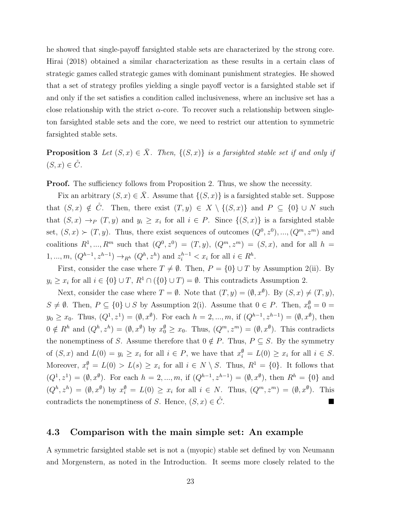he showed that single-payoff farsighted stable sets are characterized by the strong core. Hirai (2018) obtained a similar characterization as these results in a certain class of strategic games called strategic games with dominant punishment strategies. He showed that a set of strategy profiles yielding a single payoff vector is a farsighted stable set if and only if the set satisfies a condition called inclusiveness, where an inclusive set has a close relationship with the strict  $\alpha$ -core. To recover such a relationship between singleton farsighted stable sets and the core, we need to restrict our attention to symmetric farsighted stable sets.

**Proposition 3** *Let*  $(S, x) \in \overline{X}$ *. Then,*  $\{(S, x)\}\$ *is a farsighted stable set if and only if*  $(S, x) \in \check{C}$ .

**Proof.** The sufficiency follows from Proposition 2. Thus, we show the necessity.

Fix an arbitrary  $(S, x) \in \overline{X}$ . Assume that  $\{(S, x)\}\$ is a farsighted stable set. Suppose that  $(S, x) \notin \mathring{C}$ . Then, there exist  $(T, y) \in X \setminus \{(S, x)\}\$ and  $P \subseteq \{0\} \cup N$  such that  $(S, x) \to_P (T, y)$  and  $y_i \geq x_i$  for all  $i \in P$ . Since  $\{(S, x)\}\$ is a farsighted stable set,  $(S, x) \succ (T, y)$ . Thus, there exist sequences of outcomes  $(Q^0, z^0), ..., (Q^m, z^m)$  and coalitions  $R^1, ..., R^m$  such that  $(Q^0, z^0) = (T, y), (Q^m, z^m) = (S, x)$ , and for all  $h =$  $1, ..., m, (Q^{h-1}, z^{h-1}) \rightarrow_{R^h} (Q^h, z^h)$  and  $z_i^{h-1} < x_i$  for all  $i \in R^h$ .

First, consider the case where  $T \neq \emptyset$ . Then,  $P = \{0\} \cup T$  by Assumption 2(ii). By  $y_i \geq x_i$  for all  $i \in \{0\} \cup T$ ,  $R^1 \cap (\{0\} \cup T) = \emptyset$ . This contradicts Assumption 2.

Next, consider the case where  $T = \emptyset$ . Note that  $(T, y) = (\emptyset, x^{\emptyset})$ . By  $(S, x) \neq (T, y)$ , *S*  $\neq$  *Ø*. Then, *P* ⊆ {0} ∪ *S* by Assumption 2(i). Assume that 0 ∈ *P*. Then,  $x_0^{\emptyset} = 0$  =  $y_0 \ge x_0$ . Thus,  $(Q^1, z^1) = (\emptyset, x^{\emptyset})$ . For each  $h = 2, ..., m$ , if  $(Q^{h-1}, z^{h-1}) = (\emptyset, x^{\emptyset})$ , then  $0 \notin R^h$  and  $(Q^h, z^h) = (\emptyset, x^{\emptyset})$  by  $x_0^{\emptyset} \ge x_0$ . Thus,  $(Q^m, z^m) = (\emptyset, x^{\emptyset})$ . This contradicts the nonemptiness of *S*. Assume therefore that  $0 \notin P$ . Thus,  $P \subseteq S$ . By the symmetry of  $(S, x)$  and  $L(0) = y_i \ge x_i$  for all  $i \in P$ , we have that  $x_i^{\emptyset} = L(0) \ge x_i$  for all  $i \in S$ . Moreover,  $x_i^{\emptyset} = L(0) > L(s) \ge x_i$  for all  $i \in N \setminus S$ . Thus,  $R^1 = \{0\}$ . It follows that  $(Q^1, z^1) = (\emptyset, x^{\emptyset})$ . For each  $h = 2, ..., m$ , if  $(Q^{h-1}, z^{h-1}) = (\emptyset, x^{\emptyset})$ , then  $R^h = \{0\}$  and  $(Q<sup>h</sup>, z<sup>h</sup>) = (\emptyset, x<sup>\emptyset</sup>)$  by  $x<sup>\emptyset</sup><sub>i</sub> = L(0) \ge x<sub>i</sub>$  for all  $i \in N$ . Thus,  $(Q<sup>m</sup>, z<sup>m</sup>) = (\emptyset, x<sup>\emptyset</sup>)$ . This contradicts the nonemptiness of *S*. Hence,  $(S, x) \in \check{C}$ .

#### **4.3 Comparison with the main simple set: An example**

A symmetric farsighted stable set is not a (myopic) stable set defined by von Neumann and Morgenstern, as noted in the Introduction. It seems more closely related to the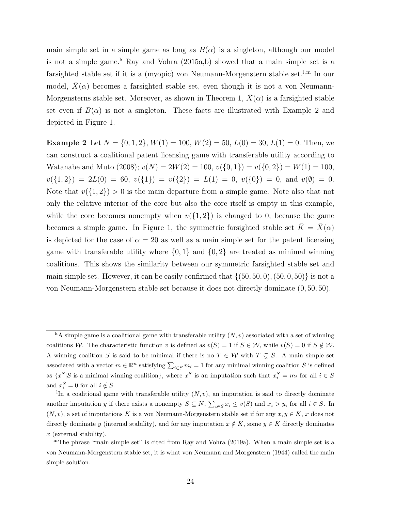main simple set in a simple game as long as  $B(\alpha)$  is a singleton, although our model is not a simple game.<sup>k</sup> Ray and Vohra  $(2015a,b)$  showed that a main simple set is a farsighted stable set if it is a (myopic) von Neumann-Morgenstern stable set.<sup>l</sup>*,*<sup>m</sup> In our model,  $\bar{X}(\alpha)$  becomes a farsighted stable set, even though it is not a von Neumann-Morgensterns stable set. Moreover, as shown in Theorem 1,  $\bar{X}(\alpha)$  is a farsighted stable set even if  $B(\alpha)$  is not a singleton. These facts are illustrated with Example 2 and depicted in Figure 1.

**Example 2** Let  $N = \{0, 1, 2\}$ ,  $W(1) = 100$ ,  $W(2) = 50$ ,  $L(0) = 30$ ,  $L(1) = 0$ . Then, we can construct a coalitional patent licensing game with transferable utility according to Watanabe and Muto (2008);  $v(N) = 2W(2) = 100, v({0, 1}) = v({0, 2}) = W(1) = 100$ ,  $v({1, 2}) = 2L(0) = 60, v({1}) = v({2}) = L(1) = 0, v({0}) = 0, \text{ and } v(\emptyset) = 0.$ Note that  $v({1,2}) > 0$  is the main departure from a simple game. Note also that not only the relative interior of the core but also the core itself is empty in this example, while the core becomes nonempty when  $v({1,2})$  is changed to 0, because the game becomes a simple game. In Figure 1, the symmetric farsighted stable set  $\bar{K} = \bar{X}(\alpha)$ is depicted for the case of  $\alpha = 20$  as well as a main simple set for the patent licensing game with transferable utility where *{*0*,* 1*}* and *{*0*,* 2*}* are treated as minimal winning coalitions. This shows the similarity between our symmetric farsighted stable set and main simple set. However, it can be easily confirmed that  $\{(50, 50, 0), (50, 0, 50)\}\)$  is not a von Neumann-Morgenstern stable set because it does not directly dominate (0*,* 50*,* 50).

 $k_A$  simple game is a coalitional game with transferable utility  $(N, v)$  associated with a set of winning coalitions *W*. The characteristic function *v* is defined as  $v(S) = 1$  if  $S \in W$ , while  $v(S) = 0$  if  $S \notin W$ . A winning coalition *S* is said to be minimal if there is no  $T \in W$  with  $T \subsetneq S$ . A main simple set associated with a vector  $m \in \mathbb{R}^n$  satisfying  $\sum_{i \in S} m_i = 1$  for any minimal winning coalition *S* is defined as  $\{x^S | S \text{ is a minimal winning coalition}\},\text{ where } x^S \text{ is an imputation such that } x_i^S = m_i \text{ for all } i \in S$ and  $x_i^S = 0$  for all  $i \notin S$ .

<sup>&</sup>lt;sup>1</sup>In a coalitional game with transferable utility  $(N, v)$ , an imputation is said to directly dominate another imputation y if there exists a nonempty  $S \subseteq N$ ,  $\sum_{i \in S} x_i \le v(S)$  and  $x_i > y_i$  for all  $i \in S$ . In  $(N, v)$ , a set of imputations *K* is a von Neumann-Morgenstern stable set if for any  $x, y \in K$ , *x* does not directly dominate *y* (internal stability), and for any imputation  $x \notin K$ , some  $y \in K$  directly dominates *x* (external stability).

<sup>&</sup>lt;sup>m</sup>The phrase "main simple set" is cited from Ray and Vohra  $(2019a)$ . When a main simple set is a von Neumann-Morgenstern stable set, it is what von Neumann and Morgenstern (1944) called the main simple solution.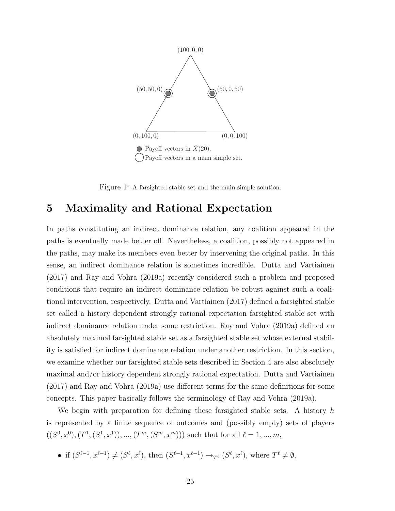

Figure 1: A farsighted stable set and the main simple solution.

### **5 Maximality and Rational Expectation**

In paths constituting an indirect dominance relation, any coalition appeared in the paths is eventually made better off. Nevertheless, a coalition, possibly not appeared in the paths, may make its members even better by intervening the original paths. In this sense, an indirect dominance relation is sometimes incredible. Dutta and Vartiainen (2017) and Ray and Vohra (2019a) recently considered such a problem and proposed conditions that require an indirect dominance relation be robust against such a coalitional intervention, respectively. Dutta and Vartiainen (2017) defined a farsighted stable set called a history dependent strongly rational expectation farsighted stable set with indirect dominance relation under some restriction. Ray and Vohra (2019a) defined an absolutely maximal farsighted stable set as a farsighted stable set whose external stability is satisfied for indirect dominance relation under another restriction. In this section, we examine whether our farsighted stable sets described in Section 4 are also absolutely maximal and/or history dependent strongly rational expectation. Dutta and Vartiainen (2017) and Ray and Vohra (2019a) use different terms for the same definitions for some concepts. This paper basically follows the terminology of Ray and Vohra (2019a).

We begin with preparation for defining these farsighted stable sets. A history *h* is represented by a finite sequence of outcomes and (possibly empty) sets of players  $((S^0, x^0), (T^1, (S^1, x^1)), ..., (T^m, (S^m, x^m)))$  such that for all  $\ell = 1, ..., m$ ,

• if 
$$
(S^{\ell-1}, x^{\ell-1}) \neq (S^{\ell}, x^{\ell})
$$
, then  $(S^{\ell-1}, x^{\ell-1}) \rightarrow_{T^{\ell}} (S^{\ell}, x^{\ell})$ , where  $T^{\ell} \neq \emptyset$ ,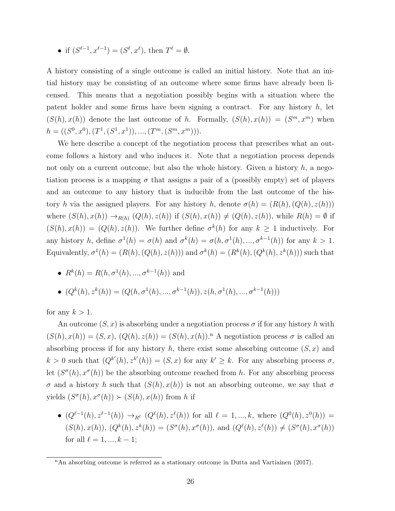• if  $(S^{\ell-1}, x^{\ell-1}) = (S^{\ell}, x^{\ell})$ , then  $T^{\ell} = \emptyset$ .

A history consisting of a single outcome is called an initial history. Note that an initial history may be consisting of an outcome where some firms have already been licensed. This means that a negotiation possibly begins with a situation where the patent holder and some firms have been signing a contract. For any history *h*, let  $(S(h), x(h))$  denote the last outcome of *h*. Formally,  $(S(h), x(h)) = (S^m, x^m)$  when  $h = ((S^0, x^0), (T^1, (S^1, x^1)), ..., (T^m, (S^m, x^m))).$ 

We here describe a concept of the negotiation process that prescribes what an outcome follows a history and who induces it. Note that a negotiation process depends not only on a current outcome, but also the whole history. Given a history *h*, a negotiation process is a mapping  $\sigma$  that assigns a pair of a (possibly empty) set of players and an outcome to any history that is inducible from the last outcome of the history *h* via the assigned players. For any history *h*, denote  $\sigma(h) = (R(h), (Q(h), z(h)))$ where  $(S(h),x(h)) \rightarrow_{R(h)} (Q(h),z(h))$  if  $(S(h),x(h)) \neq (Q(h),z(h))$ , while  $R(h) = \emptyset$  if  $(S(h), x(h)) = (Q(h), z(h))$ . We further define  $\sigma^k(h)$  for any  $k \ge 1$  inductively. For any history *h*, define  $\sigma^1(h) = \sigma(h)$  and  $\sigma^k(h) = \sigma(h, \sigma^1(h), ..., \sigma^{k-1}(h))$  for any  $k > 1$ . Equivalently,  $\sigma^1(h) = (R(h), (Q(h), z(h)))$  and  $\sigma^k(h) = (R^k(h), (Q^k(h), z^k(h)))$  such that

- $R^k(h) = R(h, \sigma^1(h), ..., \sigma^{k-1}(h))$  and
- $(Q^k(h), z^k(h)) = (Q(h, \sigma^1(h), ..., \sigma^{k-1}(h)), z(h, \sigma^1(h), ..., \sigma^{k-1}(h)))$

for any  $k > 1$ .

An outcome  $(S, x)$  is absorbing under a negotiation process  $\sigma$  if for any history h with  $(S(h), x(h)) = (S, x), (Q(h), z(h)) = (S(h), x(h))$ .<sup>n</sup> A negotiation process  $\sigma$  is called an absorbing process if for any history  $h$ , there exist some absorbing outcome  $(S, x)$  and  $k > 0$  such that  $(Q^{k'}(h), z^{k'}(h)) = (S, x)$  for any  $k' \geq k$ . For any absorbing process  $\sigma$ , let  $(S^{\sigma}(h), x^{\sigma}(h))$  be the absorbing outcome reached from *h*. For any absorbing process *σ* and a history *h* such that (*S*(*h*)*, x*(*h*)) is not an absorbing outcome, we say that *σ*  $y$ ields  $(S^{\sigma}(h), x^{\sigma}(h)) \succ (S(h), x(h))$  from *h* if

•  $(Q^{\ell-1}(h), z^{\ell-1}(h)) \to_{R^{\ell}} (Q^{\ell}(h), z^{\ell}(h))$  for all  $\ell = 1, ..., k$ , where  $(Q^0(h), z^0(h)) =$  $(S(h), x(h)), (Q^k(h), z^k(h)) = (S^{\sigma}(h), x^{\sigma}(h)), \text{ and } (Q^{\ell}(h), z^{\ell}(h)) \neq (S^{\sigma}(h), x^{\sigma}(h))$ for all  $\ell = 1, ..., k-1;$ 

 $n<sub>n</sub>$ An absorbing outcome is referred as a stationary outcome in Dutta and Vartiainen (2017).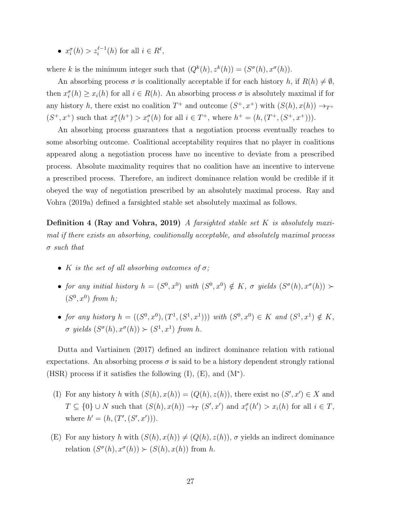•  $x_i^{\sigma}(h) > z_i^{\ell-1}(h)$  for all  $i \in R^{\ell}$ ,

where *k* is the minimum integer such that  $(Q^k(h), z^k(h)) = (S^{\sigma}(h), x^{\sigma}(h)).$ 

An absorbing process  $\sigma$  is coalitionally acceptable if for each history *h*, if  $R(h) \neq \emptyset$ , then  $x_i^{\sigma}(h) \geq x_i(h)$  for all  $i \in R(h)$ . An absorbing process  $\sigma$  is absolutely maximal if for any history *h*, there exist no coalition  $T^+$  and outcome  $(S^+, x^+)$  with  $(S(h), x(h)) \rightarrow_{T^+}$  $(S^+, x^+)$  such that  $x_i^{\sigma}(h^+) > x_i^{\sigma}(h)$  for all  $i \in T^+$ , where  $h^+ = (h, (T^+, (S^+, x^+)))$ .

An absorbing process guarantees that a negotiation process eventually reaches to some absorbing outcome. Coalitional acceptability requires that no player in coalitions appeared along a negotiation process have no incentive to deviate from a prescribed process. Absolute maximality requires that no coalition have an incentive to intervene a prescribed process. Therefore, an indirect dominance relation would be credible if it obeyed the way of negotiation prescribed by an absolutely maximal process. Ray and Vohra (2019a) defined a farsighted stable set absolutely maximal as follows.

**Definition 4 (Ray and Vohra, 2019)** *A farsighted stable set K is absolutely maximal if there exists an absorbing, coalitionally acceptable, and absolutely maximal process σ such that*

- *K is the set of all absorbing outcomes of*  $\sigma$ ;
- for any initial history  $h = (S^0, x^0)$  with  $(S^0, x^0) \notin K$ ,  $\sigma$  yields  $(S^{\sigma}(h), x^{\sigma}(h))$  >  $(S^0, x^0)$  *from h*;
- for any history  $h = ((S^0, x^0), (T^1, (S^1, x^1)))$  with  $(S^0, x^0) \in K$  and  $(S^1, x^1) \notin K$ ,  $\sigma$  *yields*  $(S^{\sigma}(h), x^{\sigma}(h)) \succ (S^1, x^1)$  *from h.*

Dutta and Vartiainen (2017) defined an indirect dominance relation with rational expectations. An absorbing process  $\sigma$  is said to be a history dependent strongly rational (HSR) process if it satisfies the following (I), (E), and (M*<sup>∗</sup>* ).

- (I) For any history *h* with  $(S(h), x(h)) = (Q(h), z(h))$ , there exist no  $(S', x') \in X$  and  $T \subseteq \{0\} \cup N$  such that  $(S(h), x(h)) \rightarrow_T (S', x')$  and  $x_i^{\sigma}(h') > x_i(h)$  for all  $i \in T$ , where  $h' = (h, (T', (S', x'))).$
- (E) For any history *h* with  $(S(h), x(h)) \neq (Q(h), z(h))$ , *σ* yields an indirect dominance  $r$  relation  $(S^{\sigma}(h), x^{\sigma}(h)) \succ (S(h), x(h))$  from *h*.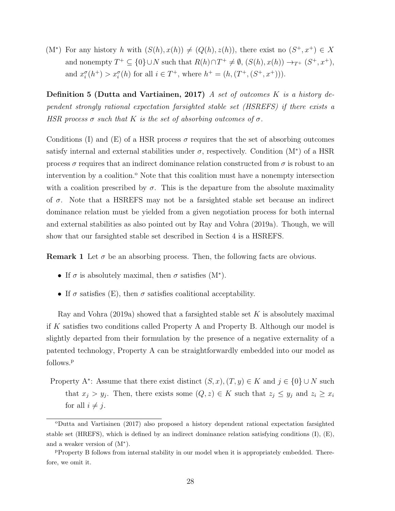$(M^*)$  For any history *h* with  $(S(h), x(h)) \neq (Q(h), z(h))$ , there exist no  $(S^+, x^+) \in X$ and nonempty  $T^+ \subseteq \{0\} \cup N$  such that  $R(h) \cap T^+ \neq \emptyset$ ,  $(S(h), x(h)) \rightarrow_{T^+} (S^+, x^+)$ , and  $x_i^{\sigma}(h^+) > x_i^{\sigma}(h)$  for all  $i \in T^+$ , where  $h^+ = (h, (T^+, (S^+, x^+)))$ .

**Definition 5 (Dutta and Vartiainen, 2017)** *A set of outcomes K is a history dependent strongly rational expectation farsighted stable set (HSREFS) if there exists a HSR process*  $\sigma$  *such that*  $K$  *is the set of absorbing outcomes of*  $\sigma$ *.* 

Conditions (I) and (E) of a HSR process  $\sigma$  requires that the set of absorbing outcomes satisfy internal and external stabilities under  $\sigma$ , respectively. Condition  $(M^*)$  of a HSR process  $\sigma$  requires that an indirect dominance relation constructed from  $\sigma$  is robust to an intervention by a coalition.<sup>o</sup> Note that this coalition must have a nonempty intersection with a coalition prescribed by  $\sigma$ . This is the departure from the absolute maximality of *σ*. Note that a HSREFS may not be a farsighted stable set because an indirect dominance relation must be yielded from a given negotiation process for both internal and external stabilities as also pointed out by Ray and Vohra (2019a). Though, we will show that our farsighted stable set described in Section 4 is a HSREFS.

**Remark 1** Let  $\sigma$  be an absorbing process. Then, the following facts are obvious.

- If  $\sigma$  is absolutely maximal, then  $\sigma$  satisfies (M<sup>\*</sup>).
- If  $\sigma$  satisfies (E), then  $\sigma$  satisfies coalitional acceptability.

Ray and Vohra (2019a) showed that a farsighted stable set *K* is absolutely maximal if *K* satisfies two conditions called Property A and Property B. Although our model is slightly departed from their formulation by the presence of a negative externality of a patented technology, Property A can be straightforwardly embedded into our model as follows.<sup>p</sup>

Property A<sup>\*</sup>: Assume that there exist distinct  $(S, x)$ ,  $(T, y) \in K$  and  $j \in \{0\} \cup N$  such that  $x_j > y_j$ . Then, there exists some  $(Q, z) \in K$  such that  $z_j \leq y_j$  and  $z_i \geq x_i$ for all  $i \neq j$ .

<sup>o</sup>Dutta and Vartiainen (2017) also proposed a history dependent rational expectation farsighted stable set (HREFS), which is defined by an indirect dominance relation satisfying conditions  $(I)$ ,  $(E)$ , and a weaker version of (M*<sup>∗</sup>* ).

<sup>p</sup>Property B follows from internal stability in our model when it is appropriately embedded. Therefore, we omit it.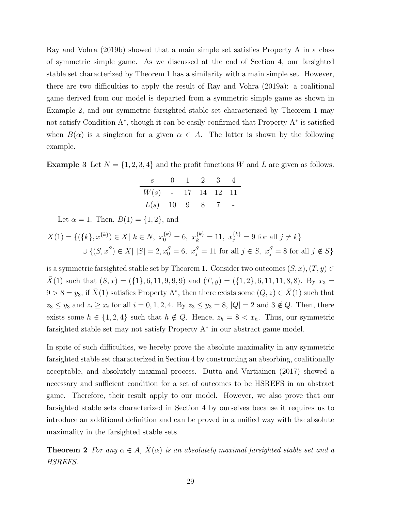Ray and Vohra (2019b) showed that a main simple set satisfies Property A in a class of symmetric simple game. As we discussed at the end of Section 4, our farsighted stable set characterized by Theorem 1 has a similarity with a main simple set. However, there are two difficulties to apply the result of Ray and Vohra (2019a): a coalitional game derived from our model is departed from a symmetric simple game as shown in Example 2, and our symmetric farsighted stable set characterized by Theorem 1 may not satisfy Condition A*<sup>∗</sup>* , though it can be easily confirmed that Property A*<sup>∗</sup>* is satisfied when  $B(\alpha)$  is a singleton for a given  $\alpha \in A$ . The latter is shown by the following example.

**Example 3** Let  $N = \{1, 2, 3, 4\}$  and the profit functions *W* and *L* are given as follows.

|             |     |       | 3 |  |
|-------------|-----|-------|---|--|
| $W(s)$   -  | -17 | 14 12 |   |  |
| $L(s)$   10 | 9   |       |   |  |

Let  $\alpha = 1$ . Then,  $B(1) = \{1, 2\}$ , and

$$
\bar{X}(1) = \{ (\{k\}, x^{\{k\}}) \in \bar{X} \mid k \in N, \ x_0^{\{k\}} = 6, \ x_k^{\{k\}} = 11, \ x_j^{\{k\}} = 9 \text{ for all } j \neq k \}
$$
  

$$
\cup \{ (S, x^S) \in \bar{X} \mid |S| = 2, x_0^S = 6, \ x_j^S = 11 \text{ for all } j \in S, \ x_j^S = 8 \text{ for all } j \notin S \}
$$

is a symmetric farsighted stable set by Theorem 1. Consider two outcomes  $(S, x)$ ,  $(T, y) \in$  $\overline{X}(1)$  such that  $(S, x) = (\{1\}, 6, 11, 9, 9, 9)$  and  $(T, y) = (\{1, 2\}, 6, 11, 11, 8, 8)$ . By  $x_3 =$  $9 > 8 = y_3$ , if  $\bar{X}(1)$  satisfies Property A<sup>\*</sup>, then there exists some  $(Q, z) \in \bar{X}(1)$  such that  $z_3 \le y_3$  and  $z_i \ge x_i$  for all  $i = 0, 1, 2, 4$ . By  $z_3 \le y_3 = 8$ ,  $|Q| = 2$  and  $3 \notin Q$ . Then, there exists some  $h \in \{1, 2, 4\}$  such that  $h \notin Q$ . Hence,  $z_h = 8 < x_h$ . Thus, our symmetric farsighted stable set may not satisfy Property A*<sup>∗</sup>* in our abstract game model.

In spite of such difficulties, we hereby prove the absolute maximality in any symmetric farsighted stable set characterized in Section 4 by constructing an absorbing, coalitionally acceptable, and absolutely maximal process. Dutta and Vartiainen (2017) showed a necessary and sufficient condition for a set of outcomes to be HSREFS in an abstract game. Therefore, their result apply to our model. However, we also prove that our farsighted stable sets characterized in Section 4 by ourselves because it requires us to introduce an additional definition and can be proved in a unified way with the absolute maximality in the farsighted stable sets.

**Theorem 2** *For any*  $\alpha \in A$ *,*  $\bar{X}(\alpha)$  *is an absolutely maximal farsighted stable set and a HSREFS.*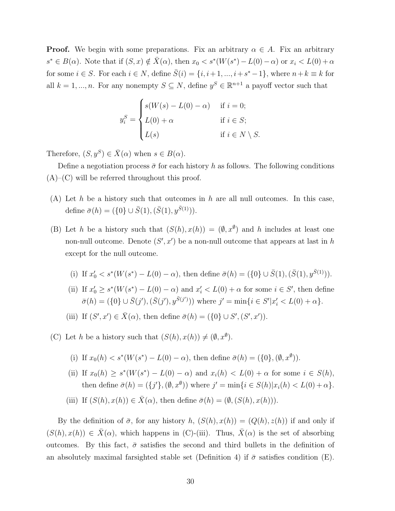**Proof.** We begin with some preparations. Fix an arbitrary  $\alpha \in A$ . Fix an arbitrary  $s^* \in B(\alpha)$ . Note that if  $(S, x) \notin \overline{X}(\alpha)$ , then  $x_0 < s^*(W(s^*) - L(0) - \alpha)$  or  $x_i < L(0) + \alpha$ for some  $i \in S$ . For each  $i \in N$ , define  $\overline{S}(i) = \{i, i+1, ..., i+s^* - 1\}$ , where  $n+k \equiv k$  for all  $k = 1, ..., n$ . For any nonempty  $S \subseteq N$ , define  $y^S \in \mathbb{R}^{n+1}$  a payoff vector such that

$$
y_i^S = \begin{cases} s(W(s) - L(0) - \alpha) & \text{if } i = 0; \\ L(0) + \alpha & \text{if } i \in S; \\ L(s) & \text{if } i \in N \setminus S. \end{cases}
$$

Therefore,  $(S, y^S) \in \overline{X}(\alpha)$  when  $s \in B(\alpha)$ .

Define a negotiation process  $\bar{\sigma}$  for each history *h* as follows. The following conditions  $(A)$ – $(C)$  will be referred throughout this proof.

- (A) Let *h* be a history such that outcomes in *h* are all null outcomes. In this case, define  $\bar{\sigma}(h) = (\{0\} \cup \bar{S}(1), (\bar{S}(1), y^{\bar{S}(1)})).$
- (B) Let *h* be a history such that  $(S(h), x(h)) = (\emptyset, x^{\emptyset})$  and *h* includes at least one non-null outcome. Denote  $(S', x')$  be a non-null outcome that appears at last in *h* except for the null outcome.

(i) If 
$$
x'_0 < s^*(W(s^*) - L(0) - \alpha)
$$
, then define  $\bar{\sigma}(h) = (\{0\} \cup \bar{S}(1), (\bar{S}(1), y^{\bar{S}(1)}))$ .

- (ii) If  $x'_0 \ge s^*(W(s^*) L(0) \alpha)$  and  $x'_i < L(0) + \alpha$  for some  $i \in S'$ , then define  $\bar{\sigma}(h) = (\{0\} \cup \bar{S}(j'), (\bar{S}(j'), y^{\bar{S}(j')}))$  where  $j' = \min\{i \in S'|x'_i < L(0) + \alpha\}.$
- (iii) If  $(S', x') \in \overline{X}(\alpha)$ , then define  $\overline{\sigma}(h) = (\{0\} \cup S', (S', x')).$
- (C) Let *h* be a history such that  $(S(h), x(h)) \neq (\emptyset, x^{\emptyset})$ .
	- (i) If  $x_0(h) < s^*(W(s^*) L(0) \alpha)$ , then define  $\bar{\sigma}(h) = (\{0\}, (\emptyset, x^{\emptyset}))$ .
	- (ii) If  $x_0(h) \ge s^*(W(s^*) L(0) \alpha)$  and  $x_i(h) < L(0) + \alpha$  for some  $i \in S(h)$ , then define  $\bar{\sigma}(h) = (\{j'\}, (\emptyset, x^{\emptyset}))$  where  $j' = \min\{i \in S(h)|x_i(h) < L(0) + \alpha\}.$
	- (iii) If  $(S(h), x(h)) \in \overline{X}(\alpha)$ , then define  $\overline{\sigma}(h) = (\emptyset, (S(h), x(h)))$ .

By the definition of  $\bar{\sigma}$ , for any history *h*,  $(S(h), x(h)) = (Q(h), z(h))$  if and only if  $(S(h), x(h)) \in \overline{X}(\alpha)$ , which happens in (C)-(iii). Thus,  $\overline{X}(\alpha)$  is the set of absorbing outcomes. By this fact,  $\bar{\sigma}$  satisfies the second and third bullets in the definition of an absolutely maximal farsighted stable set (Definition 4) if  $\bar{\sigma}$  satisfies condition (E).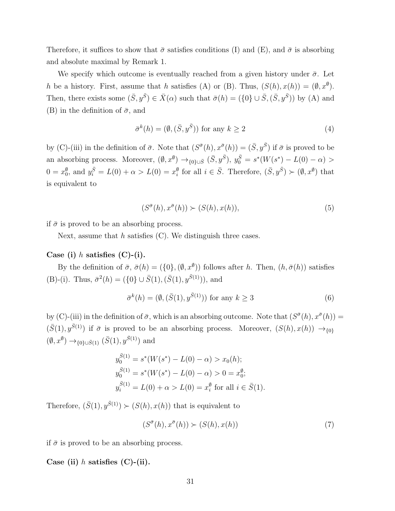Therefore, it suffices to show that  $\bar{\sigma}$  satisfies conditions (I) and (E), and  $\bar{\sigma}$  is absorbing and absolute maximal by Remark 1.

We specify which outcome is eventually reached from a given history under  $\bar{\sigma}$ . Let *h* be a history. First, assume that *h* satisfies (A) or (B). Thus,  $(S(h), x(h)) = (\emptyset, x^{\emptyset})$ . Then, there exists some  $(\bar{S}, y^{\bar{S}}) \in \bar{X}(\alpha)$  such that  $\bar{\sigma}(h) = (\{0\} \cup \bar{S}, (\bar{S}, y^{\bar{S}}))$  by (A) and (B) in the definition of  $\bar{\sigma}$ , and

$$
\bar{\sigma}^k(h) = (\emptyset, (\bar{S}, y^{\bar{S}})) \text{ for any } k \ge 2
$$
\n<sup>(4)</sup>

by (C)-(iii) in the definition of  $\bar{\sigma}$ . Note that  $(S^{\bar{\sigma}}(h), x^{\bar{\sigma}}(h)) = (\bar{S}, y^{\bar{S}})$  if  $\bar{\sigma}$  is proved to be an absorbing process. Moreover,  $(\emptyset, x^{\emptyset}) \rightarrow_{\{0\}\cup \bar{S}} (\bar{S}, y^{\bar{S}}), y_0^{\bar{S}} = s^*(W(s^*) - L(0) - \alpha) >$  $0 = x_0^{\emptyset}$ , and  $y_i^{\bar{S}} = L(0) + \alpha > L(0) = x_i^{\emptyset}$  for all  $i \in \bar{S}$ . Therefore,  $(\bar{S}, y^{\bar{S}}) \succ (\emptyset, x^{\emptyset})$  that is equivalent to

$$
(S^{\bar{\sigma}}(h), x^{\bar{\sigma}}(h)) \succ (S(h), x(h)), \tag{5}
$$

if  $\bar{\sigma}$  is proved to be an absorbing process.

Next, assume that *h* satisfies (C). We distinguish three cases.

#### Case (i)  $h$  **satisfies** (C)-(i).

By the definition of  $\bar{\sigma}$ ,  $\bar{\sigma}(h) = (\{0\}, (\emptyset, x^{\emptyset}))$  follows after *h*. Then,  $(h, \bar{\sigma}(h))$  satisfies  $(B)$ -(i). Thus,  $\bar{\sigma}^2(h) = (\{0\} \cup \bar{S}(1), (\bar{S}(1), y^{\bar{S}(1)}))$ , and

$$
\bar{\sigma}^k(h) = (\emptyset, (\bar{S}(1), y^{\bar{S}(1)})) \text{ for any } k \ge 3
$$
\n
$$
(6)
$$

by (C)-(iii) in the definition of  $\bar{\sigma}$ , which is an absorbing outcome. Note that  $(S^{\bar{\sigma}}(h), x^{\bar{\sigma}}(h)) =$  $(\bar{S}(1), y^{\bar{S}(1)})$  if  $\bar{\sigma}$  is proved to be an absorbing process. Moreover,  $(S(h), x(h)) \rightarrow_{\{0\}}$  $(\emptyset, x^{\emptyset})$  →<sub>{0}</sub>∪*§*<sub>(1)</sub></sup> (*S*<sup>(1</sup>)*, y*<sup>*S*<sub>(1)</sub>)</sup> and

$$
y_0^{\bar{S}(1)} = s^*(W(s^*) - L(0) - \alpha) > x_0(h);
$$
  
\n
$$
y_0^{\bar{S}(1)} = s^*(W(s^*) - L(0) - \alpha) > 0 = x_0^{\emptyset};
$$
  
\n
$$
y_i^{\bar{S}(1)} = L(0) + \alpha > L(0) = x_i^{\emptyset} \text{ for all } i \in \bar{S}(1).
$$

Therefore,  $(\bar{S}(1), y^{\bar{S}(1)}) \succ (S(h), x(h))$  that is equivalent to

$$
(S^{\bar{\sigma}}(h), x^{\bar{\sigma}}(h)) \succ (S(h), x(h))
$$
\n<sup>(7)</sup>

if  $\bar{\sigma}$  is proved to be an absorbing process.

**Case (ii)** *h* **satisfies (C)-(ii).**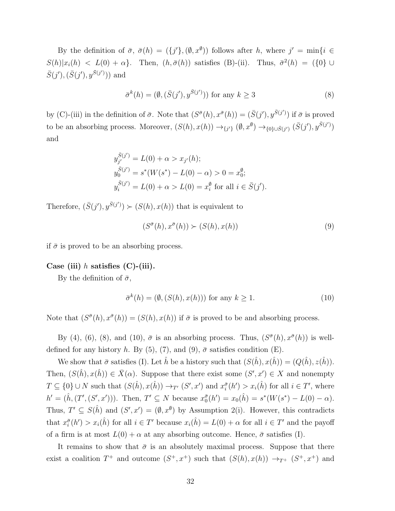By the definition of  $\bar{\sigma}$ ,  $\bar{\sigma}(h) = (\{j'\},(\emptyset,x^{\emptyset}))$  follows after *h*, where  $j' = \min\{i \in$  $S(h)|x_i(h) < L(0) + \alpha$ . Then,  $(h, \bar{\sigma}(h))$  satisfies (B)-(ii). Thus,  $\bar{\sigma}^2(h) = (\{0\} \cup$  $(\bar{S}(j'),(\bar{S}(j'),y^{\bar{S}(j')}))$  and

$$
\bar{\sigma}^k(h) = (\emptyset, (\bar{S}(j'), y^{\bar{S}(j')})) \text{ for any } k \ge 3
$$
\n(8)

by (C)-(iii) in the definition of  $\bar{\sigma}$ . Note that  $(S^{\bar{\sigma}}(h), x^{\bar{\sigma}}(h)) = (\bar{S}(j'), y^{\bar{S}(j')})$  if  $\bar{\sigma}$  is proved to be an absorbing process. Moreover,  $(S(h), x(h)) \to_{\{j'\}} (\emptyset, x^{\emptyset}) \to_{\{0\} \cup \overline{S}(j') } (\overline{S}(j'), y^{\overline{S}(j')})$ and

$$
y_{j'}^{\bar{S}(j')} = L(0) + \alpha > x_{j'}(h);
$$
  
\n
$$
y_0^{\bar{S}(j')} = s^*(W(s^*) - L(0) - \alpha) > 0 = x_0^{\emptyset};
$$
  
\n
$$
y_i^{\bar{S}(j')} = L(0) + \alpha > L(0) = x_i^{\emptyset} \text{ for all } i \in \bar{S}(j').
$$

Therefore,  $(\bar{S}(j'), y^{\bar{S}(j')}) \succ (S(h), x(h))$  that is equivalent to

$$
(S^{\bar{\sigma}}(h), x^{\bar{\sigma}}(h)) \succ (S(h), x(h))
$$
\n(9)

if  $\bar{\sigma}$  is proved to be an absorbing process.

#### **Case (iii)** *h* **satisfies (C)-(iii).**

By the definition of  $\bar{\sigma}$ ,

$$
\bar{\sigma}^k(h) = (\emptyset, (S(h), x(h))) \text{ for any } k \ge 1.
$$
 (10)

Note that  $(S^{\bar{\sigma}}(h), x^{\bar{\sigma}}(h)) = (S(h), x(h))$  if  $\bar{\sigma}$  is proved to be and absorbing process.

By (4), (6), (8), and (10),  $\bar{\sigma}$  is an absorbing process. Thus,  $(S^{\bar{\sigma}}(h), x^{\bar{\sigma}}(h))$  is welldefined for any history *h*. By (5), (7), and (9),  $\bar{\sigma}$  satisfies condition (E).

We show that  $\bar{\sigma}$  satisfies (I). Let  $\hat{h}$  be a history such that  $(S(\hat{h}), x(\hat{h})) = (Q(\hat{h}), z(\hat{h}))$ . Then,  $(S(\hat{h}), x(\hat{h})) \in \overline{X}(\alpha)$ . Suppose that there exist some  $(S', x') \in X$  and nonempty  $T \subseteq \{0\} \cup N$  such that  $(S(\hat{h}), x(\hat{h})) \to_{T'} (S', x')$  and  $x_i^{\bar{\sigma}}(h') > x_i(\hat{h})$  for all  $i \in T'$ , where  $h' = (\hat{h}, (T', (S', x')))$ . Then,  $T' \subseteq N$  because  $x_0^{\bar{\sigma}}(h') = x_0(\hat{h}) = s^*(W(s^*) - L(0) - \alpha)$ . Thus,  $T' \subseteq S(\hat{h})$  and  $(S', x') = (\emptyset, x^{\emptyset})$  by Assumption 2(i). However, this contradicts that  $x_i^{\bar{\sigma}}(h') > x_i(\hat{h})$  for all  $i \in T'$  because  $x_i(\hat{h}) = L(0) + \alpha$  for all  $i \in T'$  and the payoff of a firm is at most  $L(0) + \alpha$  at any absorbing outcome. Hence,  $\bar{\sigma}$  satisfies (I).

It remains to show that  $\bar{\sigma}$  is an absolutely maximal process. Suppose that there exist a coalition  $T^+$  and outcome  $(S^+, x^+)$  such that  $(S(h), x(h)) \rightarrow_{T^+} (S^+, x^+)$  and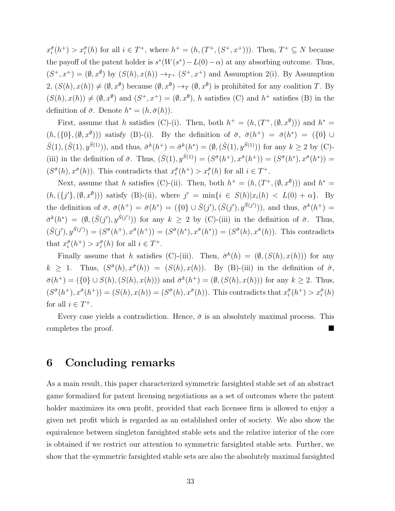$x_i^{\bar{\sigma}}(h^+) > x_i^{\bar{\sigma}}(h)$  for all  $i \in T^+$ , where  $h^+ = (h, (T^+, (S^+, x^+)))$ . Then,  $T^+ \subseteq N$  because the payoff of the patent holder is  $s^*(W(s^*) - L(0) - \alpha)$  at any absorbing outcome. Thus,  $(S^+, x^+) = (\emptyset, x^{\emptyset})$  by  $(S(h), x(h)) \rightarrow_{T^+} (S^+, x^+)$  and Assumption 2(i). By Assumption  $2, (S(h), x(h)) \neq (\emptyset, x^{\emptyset})$  because  $(\emptyset, x^{\emptyset}) \to_T (\emptyset, x^{\emptyset})$  is prohibited for any coalition *T*. By  $(S(h), x(h)) \neq (\emptyset, x^{\emptyset})$  and  $(S^+, x^+) = (\emptyset, x^{\emptyset})$ , *h* satisfies (C) and *h*<sup>+</sup> satisfies (B) in the definition of  $\bar{\sigma}$ . Denote  $h^* = (h, \bar{\sigma}(h))$ .

First, assume that *h* satisfies (C)-(i). Then, both  $h^+ = (h, (T^+, (\emptyset, x^{\emptyset})))$  and  $h^* =$  $(h, (\{0\}, (\emptyset, x^{\emptyset}))$  satisfy  $(B)$ -(i). By the definition of  $\bar{\sigma}$ ,  $\bar{\sigma}(h^{+}) = \bar{\sigma}(h^{*}) = (\{0\} \cup$  $\bar{S}(1), (\bar{S}(1), y^{\bar{S}(1)}))$ , and thus,  $\bar{\sigma}^k(h^+) = \bar{\sigma}^k(h^*) = (\emptyset, (\bar{S}(1), y^{\bar{S}(1)}))$  for any  $k \ge 2$  by (C)-(iii) in the definition of  $\bar{\sigma}$ . Thus,  $(\bar{S}(1), y^{\bar{S}(1)}) = (S^{\bar{\sigma}}(h^+), x^{\bar{\sigma}}(h^+)) = (S^{\bar{\sigma}}(h^*), x^{\bar{\sigma}}(h^*)) =$  $(S^{\bar{\sigma}}(h), x^{\bar{\sigma}}(h))$ . This contradicts that  $x_i^{\bar{\sigma}}(h^+) > x_i^{\bar{\sigma}}(h)$  for all  $i \in T^+$ .

Next, assume that *h* satisfies (C)-(ii). Then, both  $h^+ = (h,(T^+,(0,x^0)))$  and  $h^* =$  $(h, (\{j'\}, (\emptyset, x^{\emptyset})) )$  satisfy (B)-(ii), where  $j' = \min\{i \in S(h)|x_i(h) < L(0) + \alpha\}.$  By the definition of  $\bar{\sigma}$ ,  $\bar{\sigma}(h^+) = \bar{\sigma}(h^*) = (\{0\} \cup \bar{S}(j'), (\bar{S}(j'), y^{\bar{S}(j')}))$ , and thus,  $\bar{\sigma}^k(h^+) =$  $\bar{\sigma}^k(h^*) = (\emptyset, (\bar{S}(j'), y^{\bar{S}(j')})$  for any  $k \geq 2$  by (C)-(iii) in the definition of  $\bar{\sigma}$ . Thus,  $(\bar{S}(j'), y^{\bar{S}(j')}) = (S^{\bar{\sigma}}(h^+), x^{\bar{\sigma}}(h^+)) = (S^{\bar{\sigma}}(h^*), x^{\bar{\sigma}}(h^*)) = (S^{\bar{\sigma}}(h), x^{\bar{\sigma}}(h)).$  This contradicts that  $x_i^{\bar{\sigma}}(h^+) > x_i^{\bar{\sigma}}(h)$  for all  $i \in T^+$ .

Finally assume that *h* satisfies (C)-(iii). Then,  $\bar{\sigma}^k(h) = (\emptyset, (S(h), x(h)))$  for any  $k \geq 1$ . Thus,  $(S^{\bar{\sigma}}(h), x^{\bar{\sigma}}(h)) = (S(h), x(h))$ . By (B)-(iii) in the definition of  $\bar{\sigma}$ ,  $\bar{\sigma}(h^+) = (\{0\} \cup S(h), (S(h), x(h)))$  and  $\bar{\sigma}^k(h^+) = (\emptyset, (S(h), x(h)))$  for any  $k \geq 2$ . Thus,  $(S^{\bar{\sigma}}(h^+), x^{\bar{\sigma}}(h^+)) = (S(h), x(h)) = (S^{\bar{\sigma}}(h), x^{\bar{\sigma}}(h))$ . This contradicts that  $x_i^{\bar{\sigma}}(h^+) > x_i^{\bar{\sigma}}(h)$ for all  $i \in T^+$ .

Every case yields a contradiction. Hence,  $\bar{\sigma}$  is an absolutely maximal process. This completes the proof.

### **6 Concluding remarks**

As a main result, this paper characterized symmetric farsighted stable set of an abstract game formalized for patent licensing negotiations as a set of outcomes where the patent holder maximizes its own profit, provided that each licensee firm is allowed to enjoy a given net profit which is regarded as an established order of society. We also show the equivalence between singleton farsighted stable sets and the relative interior of the core is obtained if we restrict our attention to symmetric farsighted stable sets. Further, we show that the symmetric farsighted stable sets are also the absolutely maximal farsighted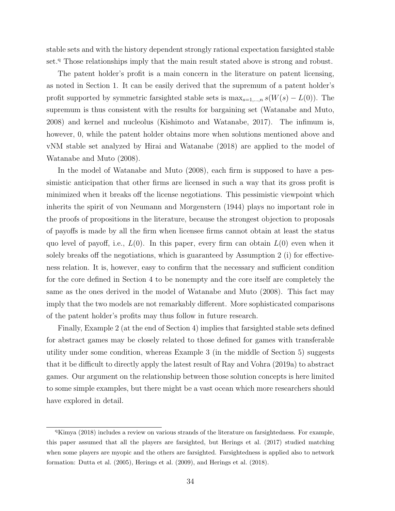stable sets and with the history dependent strongly rational expectation farsighted stable set.<sup>q</sup> Those relationships imply that the main result stated above is strong and robust.

The patent holder's profit is a main concern in the literature on patent licensing, as noted in Section 1. It can be easily derived that the supremum of a patent holder's profit supported by symmetric farsighted stable sets is  $\max_{s=1,\dots,n} s(W(s) - L(0))$ . The supremum is thus consistent with the results for bargaining set (Watanabe and Muto, 2008) and kernel and nucleolus (Kishimoto and Watanabe, 2017). The infimum is, however, 0, while the patent holder obtains more when solutions mentioned above and vNM stable set analyzed by Hirai and Watanabe (2018) are applied to the model of Watanabe and Muto (2008).

In the model of Watanabe and Muto (2008), each firm is supposed to have a pessimistic anticipation that other firms are licensed in such a way that its gross profit is minimized when it breaks off the license negotiations. This pessimistic viewpoint which inherits the spirit of von Neumann and Morgenstern (1944) plays no important role in the proofs of propositions in the literature, because the strongest objection to proposals of payoffs is made by all the firm when licensee firms cannot obtain at least the status quo level of payoff, i.e., *L*(0). In this paper, every firm can obtain *L*(0) even when it solely breaks off the negotiations, which is guaranteed by Assumption 2 (i) for effectiveness relation. It is, however, easy to confirm that the necessary and sufficient condition for the core defined in Section 4 to be nonempty and the core itself are completely the same as the ones derived in the model of Watanabe and Muto (2008). This fact may imply that the two models are not remarkably different. More sophisticated comparisons of the patent holder's profits may thus follow in future research.

Finally, Example 2 (at the end of Section 4) implies that farsighted stable sets defined for abstract games may be closely related to those defined for games with transferable utility under some condition, whereas Example 3 (in the middle of Section 5) suggests that it be difficult to directly apply the latest result of Ray and Vohra (2019a) to abstract games. Our argument on the relationship between those solution concepts is here limited to some simple examples, but there might be a vast ocean which more researchers should have explored in detail.

<sup>&</sup>lt;sup>q</sup>Kimya (2018) includes a review on various strands of the literature on farsightedness. For example, this paper assumed that all the players are farsighted, but Herings et al. (2017) studied matching when some players are myopic and the others are farsighted. Farsightedness is applied also to network formation: Dutta et al. (2005), Herings et al. (2009), and Herings et al. (2018).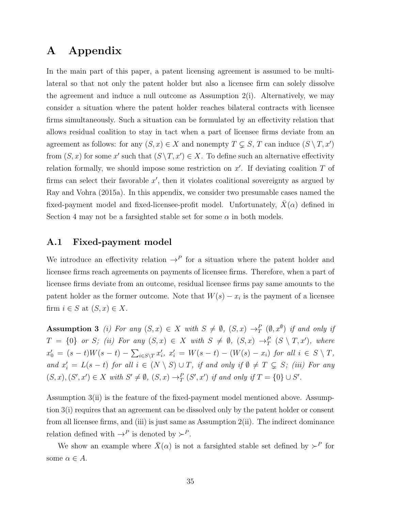# **A Appendix**

In the main part of this paper, a patent licensing agreement is assumed to be multilateral so that not only the patent holder but also a licensee firm can solely dissolve the agreement and induce a null outcome as Assumption 2(i). Alternatively, we may consider a situation where the patent holder reaches bilateral contracts with licensee firms simultaneously. Such a situation can be formulated by an effectivity relation that allows residual coalition to stay in tact when a part of licensee firms deviate from an agreement as follows: for any  $(S, x) \in X$  and nonempty  $T \subsetneq S$ ,  $T$  can induce  $(S \setminus T, x')$ from  $(S, x)$  for some x' such that  $(S \setminus T, x') \in X$ . To define such an alternative effectivity relation formally, we should impose some restriction on *x ′* . If deviating coalition *T* of firms can select their favorable *x ′* , then it violates coalitional sovereignty as argued by Ray and Vohra (2015a). In this appendix, we consider two presumable cases named the fixed-payment model and fixed-licensee-profit model. Unfortunately,  $X(\alpha)$  defined in Section 4 may not be a farsighted stable set for some  $\alpha$  in both models.

#### **A.1 Fixed-payment model**

We introduce an effectivity relation  $\rightarrow^P$  for a situation where the patent holder and licensee firms reach agreements on payments of licensee firms. Therefore, when a part of licensee firms deviate from an outcome, residual licensee firms pay same amounts to the patent holder as the former outcome. Note that  $W(s) - x_i$  is the payment of a licensee firm  $i \in S$  at  $(S, x) \in X$ .

**Assumption 3** *(i)* For any  $(S, x) \in X$  with  $S \neq \emptyset$ ,  $(S, x) \rightarrow_T^P (\emptyset, x^{\emptyset})$  if and only if  $T = \{0\}$  or S; (ii) For any  $(S, x) \in X$  with  $S \neq \emptyset$ ,  $(S, x) \rightarrow_T^P (S \setminus T, x')$ , where  $x'_0 = (s-t)W(s-t) - \sum_{i \in S \backslash T} x'_i, x'_i = W(s-t) - (W(s) - x_i)$  for all  $i \in S \setminus T$ , and  $x'_i = L(s-t)$  for all  $i \in (N \setminus S) \cup T$ , if and only if  $\emptyset \neq T \subsetneq S$ ; (iii) For any  $(S, x), (S', x') \in X$  with  $S' \neq \emptyset$ ,  $(S, x) \rightarrow_T^P (S', x')$  if and only if  $T = \{0\} \cup S'.$ 

Assumption 3(ii) is the feature of the fixed-payment model mentioned above. Assumption 3(i) requires that an agreement can be dissolved only by the patent holder or consent from all licensee firms, and (iii) is just same as Assumption 2(ii). The indirect dominance relation defined with  $\rightarrow^P$  is denoted by  $\succ^P$ .

We show an example where  $\bar{X}(\alpha)$  is not a farsighted stable set defined by  $\succ^P$  for some  $\alpha \in A$ .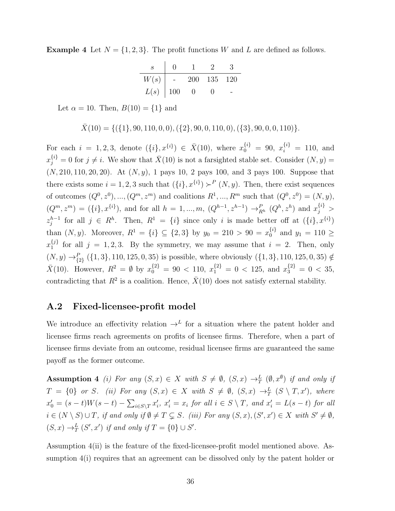**Example 4** Let  $N = \{1, 2, 3\}$ . The profit functions *W* and *L* are defined as follows.

| S            | ⋂ |              |     |      |
|--------------|---|--------------|-----|------|
| W(s)         |   | 200          | 135 | -120 |
| $L(s)$   100 |   | $\mathbf{0}$ |     |      |

Let  $\alpha = 10$ . Then,  $B(10) = \{1\}$  and

 $\bar{X}(10) = \{ (\{1\}, 90, 110, 0, 0), (\{2\}, 90, 0, 110, 0), (\{3\}, 90, 0, 0, 110) \}.$ 

For each  $i = 1, 2, 3$ , denote  $({i}, x^{i}) \in \overline{X}(10)$ , where  $x_0^{i} = 90$ ,  $x_i^{i} = 110$ , and  $x_j^{i}$  = 0 for  $j \neq i$ . We show that  $\bar{X}(10)$  is not a farsighted stable set. Consider  $(N, y)$  = (*N,* 210*,* 110*,* 20*,* 20). At (*N, y*), 1 pays 10, 2 pays 100, and 3 pays 100. Suppose that there exists some  $i = 1, 2, 3$  such that  $({i}, x^{\{i\}}) \succ^P (N, y)$ . Then, there exist sequences of outcomes  $(Q^0, z^0), ..., (Q^m, z^m)$  and coalitions  $R^1, ..., R^m$  such that  $(Q^0, z^0) = (N, y),$  $(Q^m, z^m) = (\{i\}, x^{\{i\}})$ , and for all  $h = 1, ..., m$ ,  $(Q^{h-1}, z^{h-1}) \rightarrow_{R^h}^P (Q^h, z^h)$  and  $x_j^{\{i\}} >$  $z_j^{h-1}$  for all  $j \in R^h$ . Then,  $R^1 = \{i\}$  since only i is made better off at  $(\{i\}, x^{\{i\}})$ than  $(N, y)$ . Moreover,  $R^1 = \{i\} \subseteq \{2, 3\}$  by  $y_0 = 210 > 90 = x_0^{\{i\}}$  $y_0^{i}$  and  $y_1 = 110 \geq$  $x_1^{\{j\}}$  $j_j^{(j)}$  for all  $j = 1, 2, 3$ . By the symmetry, we may assume that  $i = 2$ . Then, only  $(N, y) \rightarrow_{\{2\}}^P (\{1, 3\}, 110, 125, 0, 35)$  is possible, where obviously  $(\{1, 3\}, 110, 125, 0, 35) \notin$ *X*(10). However,  $R^2 = \emptyset$  by  $x_0^{\{2\}} = 90 < 110$ ,  $x_1^{\{2\}} = 0 < 125$ , and  $x_3^{\{2\}} = 0 < 35$ , contradicting that  $R^2$  is a coalition. Hence,  $\bar{X}(10)$  does not satisfy external stability.

### **A.2 Fixed-licensee-profit model**

We introduce an effectivity relation  $\rightarrow^L$  for a situation where the patent holder and licensee firms reach agreements on profits of licensee firms. Therefore, when a part of licensee firms deviate from an outcome, residual licensee firms are guaranteed the same payoff as the former outcome.

**Assumption 4** *(i)* For any  $(S, x) \in X$  with  $S \neq \emptyset$ ,  $(S, x) \rightarrow_T^L (\emptyset, x^{\emptyset})$  if and only if  $T = \{0\}$  or S. (ii) For any  $(S, x) \in X$  with  $S \neq \emptyset$ ,  $(S, x) \rightarrow_T^L (S \setminus T, x')$ , where  $x'_0 = (s-t)W(s-t) - \sum_{i \in S \setminus T} x'_i$ ,  $x'_i = x_i$  for all  $i \in S \setminus T$ , and  $x'_i = L(s-t)$  for all  $i \in (N \setminus S) \cup T$ , if and only if  $\emptyset \neq T \subsetneq S$ . (iii) For any  $(S, x), (S', x') \in X$  with  $S' \neq \emptyset$ ,  $(S, x) \to_T^L (S', x')$  *if and only if*  $T = \{0\} \cup S'.$ 

Assumption 4(ii) is the feature of the fixed-licensee-profit model mentioned above. Assumption 4(i) requires that an agreement can be dissolved only by the patent holder or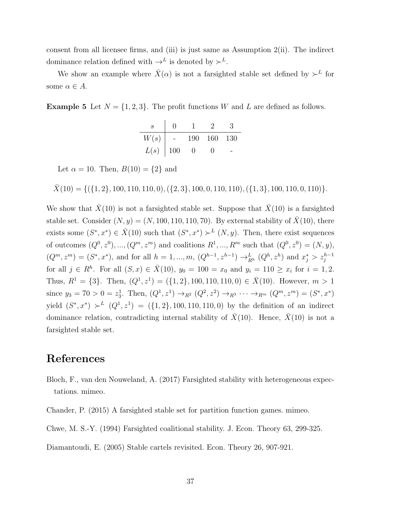consent from all licensee firms, and (iii) is just same as Assumption 2(ii). The indirect dominance relation defined with  $\rightarrow^L$  is denoted by  $\succ^L$ .

We show an example where  $\bar{X}(\alpha)$  is not a farsighted stable set defined by  $\succ^L$  for some  $\alpha \in A$ .

**Example 5** Let  $N = \{1, 2, 3\}$ . The profit functions *W* and *L* are defined as follows.

| S    |       |     |      |      |
|------|-------|-----|------|------|
| W(s) |       | 190 | -160 | -130 |
| L(s) | $100$ | 0   |      |      |

Let  $\alpha = 10$ . Then,  $B(10) = \{2\}$  and

 $\bar{X}(10) = \{ (\{1, 2\}, 100, 110, 110, 0), (\{2, 3\}, 100, 0, 110, 110), (\{1, 3\}, 100, 110, 0, 110) \}.$ 

We show that  $\bar{X}(10)$  is not a farsighted stable set. Suppose that  $\bar{X}(10)$  is a farsighted stable set. Consider  $(N, y) = (N, 100, 110, 110, 70)$ . By external stability of  $\overline{X}(10)$ , there exists some  $(S^*, x^*) \in \overline{X}(10)$  such that  $(S^*, x^*) \succ^L (N, y)$ . Then, there exist sequences of outcomes  $(Q^0, z^0), ..., (Q^m, z^m)$  and coalitions  $R^1, ..., R^m$  such that  $(Q^0, z^0) = (N, y),$  $(Q^m, z^m) = (S^*, x^*)$ , and for all  $h = 1, ..., m$ ,  $(Q^{h-1}, z^{h-1}) \rightarrow_{R^h}^L (Q^h, z^h)$  and  $x_j^* > z_j^{h-1}$ for all  $j \in R^h$ . For all  $(S, x) \in \overline{X}(10)$ ,  $y_0 = 100 = x_0$  and  $y_i = 110 \ge x_i$  for  $i = 1, 2$ . Thus,  $R^1 = \{3\}$ . Then,  $(Q^1, z^1) = (\{1, 2\}, 100, 110, 110, 0) \in \overline{X}(10)$ . However,  $m > 1$ since  $y_3 = 70 > 0 = z_3^1$ . Then,  $(Q^1, z^1) \rightarrow_{R^2} (Q^2, z^2) \rightarrow_{R^3} \cdots \rightarrow_{R^m} (Q^m, z^m) = (S^*, x^*)$ yield  $(S^*, x^*) \succ^L (Q^1, z^1) = (\{1, 2\}, 100, 110, 110, 0)$  by the definition of an indirect dominance relation, contradicting internal stability of  $X(10)$ . Hence,  $X(10)$  is not a farsighted stable set.

# **References**

Bloch, F., van den Nouweland, A. (2017) Farsighted stability with heterogeneous expectations. mimeo.

Chander, P. (2015) A farsighted stable set for partition function games. mimeo.

Chwe, M. S.-Y. (1994) Farsighted coalitional stability. J. Econ. Theory 63, 299-325.

Diamantoudi, E. (2005) Stable cartels revisited. Econ. Theory 26, 907-921.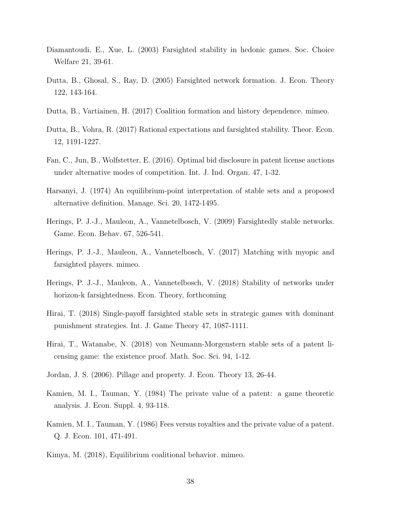- Diamantoudi, E., Xue, L. (2003) Farsighted stability in hedonic games. Soc. Choice Welfare 21, 39-61.
- Dutta, B., Ghosal, S., Ray, D. (2005) Farsighted network formation. J. Econ. Theory 122, 143-164.
- Dutta, B., Vartiainen, H. (2017) Coalition formation and history dependence. mimeo.
- Dutta, B., Vohra, R. (2017) Rational expectations and farsighted stability. Theor. Econ. 12, 1191-1227.
- Fan, C., Jun, B., Wolfstetter, E. (2016). Optimal bid disclosure in patent license auctions under alternative modes of competition. Int. J. Ind. Organ. 47, 1-32.
- Harsanyi, J. (1974) An equilibrium-point interpretation of stable sets and a proposed alternative definition. Manage. Sci. 20, 1472-1495.
- Herings, P. J.-J., Mauleon, A., Vannetelbosch, V. (2009) Farsightedly stable networks. Game. Econ. Behav. 67, 526-541.
- Herings, P. J.-J., Mauleon, A., Vannetelbosch, V. (2017) Matching with myopic and farsighted players. mimeo.
- Herings, P. J.-J., Mauleon, A., Vannetelbosch, V. (2018) Stability of networks under horizon-k farsightedness. Econ. Theory, forthcoming
- Hirai, T. (2018) Single-payoff farsighted stable sets in strategic games with dominant punishment strategies. Int. J. Game Theory 47, 1087-1111.
- Hirai, T., Watanabe, N. (2018) von Neumann-Morgenstern stable sets of a patent licensing game: the existence proof. Math. Soc. Sci. 94, 1-12.
- Jordan, J. S. (2006). Pillage and property. J. Econ. Theory 13, 26-44.
- Kamien, M. I., Tauman, Y. (1984) The private value of a patent: a game theoretic analysis. J. Econ. Suppl. 4, 93-118.
- Kamien, M. I., Tauman, Y. (1986) Fees versus royalties and the private value of a patent. Q. J. Econ. 101, 471-491.
- Kimya, M. (2018), Equilibrium coalitional behavior. mimeo.